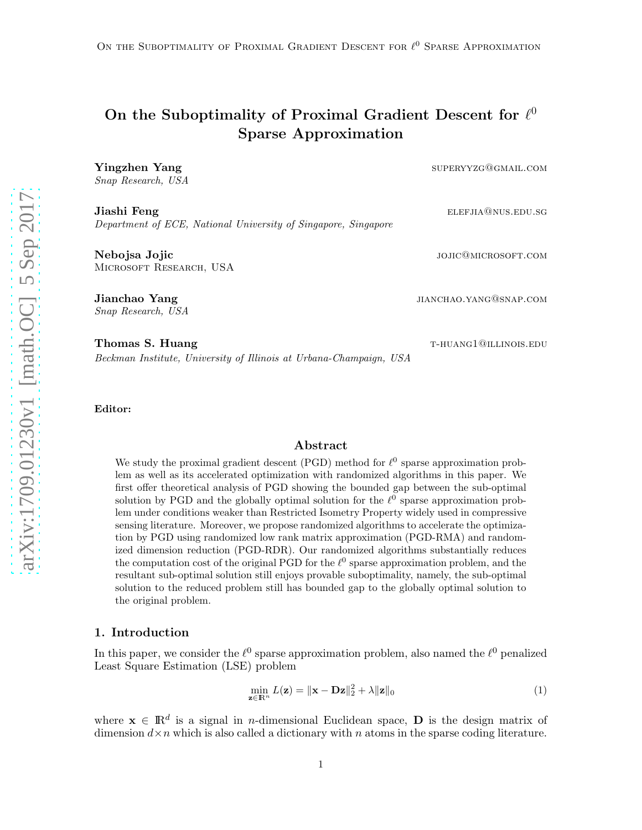# On the Suboptimality of Proximal Gradient Descent for  $\ell^0$ Sparse Approximation

**Yingzhen Yang** supervyzg@gmail.com Snap Research, USA

**Jiashi Feng** elements and the settlements of the settlements of the settlements of the settlements of the settlements of the settlements of the settlements of the settlements of the settlements of the settlements of the s Department of ECE, National University of Singapore, Singapore

Nebojsa Jojic josé province de la component de la component de la component de la component de la component de Microsoft Research, USA

Jianchao Yang jianchao yang menggunakan kelalur sebagai di sebagai di sebagai di sebagai di sebagai di sebagai

Snap Research, USA

Thomas S. Huang the settlement of the settlement of the settlement of the settlement of the settlement of the settlement of the settlement of the settlement of the settlement of the settlement of the settlement of the sett Beckman Institute, University of Illinois at Urbana-Champaign, USA

Editor:

## Abstract

We study the proximal gradient descent (PGD) method for  $\ell^0$  sparse approximation problem as well as its accelerated optimization with randomized algorithms in this paper. We first offer theoretical analysis of PGD showing the bounded gap between the sub-optimal solution by PGD and the globally optimal solution for the  $\ell^0$  sparse approximation problem under conditions weaker than Restricted Isometry Property widely used in compressive sensing literature. Moreover, we propose randomized algorithms to accelerate the optimization by PGD using randomized low rank matrix approximation (PGD-RMA) and randomized dimension reduction (PGD-RDR). Our randomized algorithms substantially reduces the computation cost of the original PGD for the  $\ell^0$  sparse approximation problem, and the resultant sub-optimal solution still enjoys provable suboptimality, namely, the sub-optimal solution to the reduced problem still has bounded gap to the globally optimal solution to the original problem.

#### 1. Introduction

In this paper, we consider the  $\ell^0$  sparse approximation problem, also named the  $\ell^0$  penalized Least Square Estimation (LSE) problem

<span id="page-0-0"></span>
$$
\min_{\mathbf{z} \in \mathbb{R}^n} L(\mathbf{z}) = \|\mathbf{x} - \mathbf{D}\mathbf{z}\|_2^2 + \lambda \|\mathbf{z}\|_0 \tag{1}
$$

where  $\mathbf{x} \in \mathbb{R}^d$  is a signal in *n*-dimensional Euclidean space, **D** is the design matrix of dimension  $d \times n$  which is also called a dictionary with n atoms in the sparse coding literature.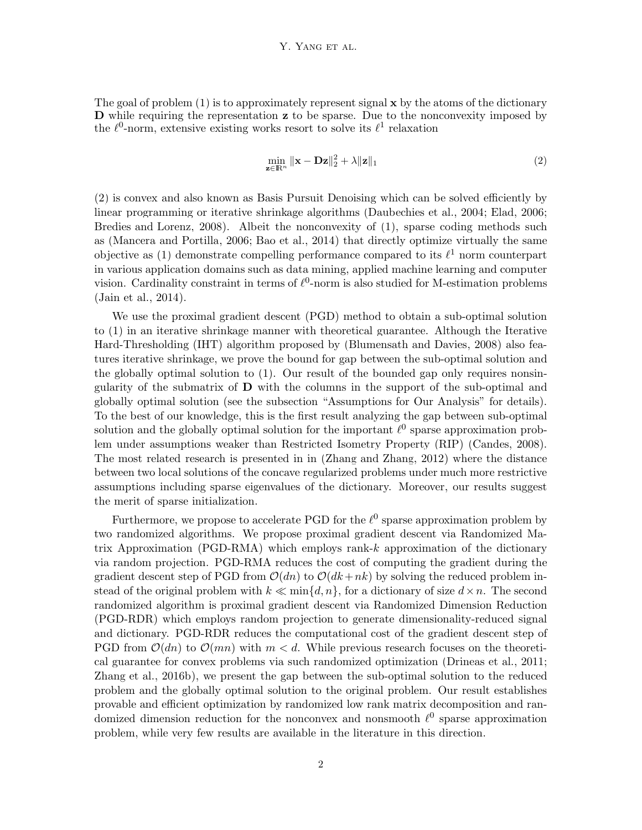#### Y. YANG ET AL.

The goal of problem  $(1)$  is to approximately represent signal  $x$  by the atoms of the dictionary D while requiring the representation z to be sparse. Due to the nonconvexity imposed by the  $\ell^0$ -norm, extensive existing works resort to solve its  $\ell^1$  relaxation

<span id="page-1-0"></span>
$$
\min_{\mathbf{z}\in\mathbb{R}^n} \|\mathbf{x} - \mathbf{Dz}\|_2^2 + \lambda \|\mathbf{z}\|_1
$$
\n(2)

[\(2\)](#page-1-0) is convex and also known as Basis Pursuit Denoising which can be solved efficiently by linear programming or iterative shrinkage algorithms [\(Daubechies et al.](#page-12-0), [2004](#page-12-0); [Elad](#page-13-0), [2006](#page-13-0); [Bredies and Lorenz](#page-12-1), [2008\)](#page-12-1). Albeit the nonconvexity of [\(1\)](#page-0-0), sparse coding methods such as [\(Mancera and Portilla](#page-14-0), [2006](#page-14-0); [Bao et al., 2014](#page-12-2)) that directly optimize virtually the same objective as [\(1\)](#page-0-0) demonstrate compelling performance compared to its  $\ell^1$  norm counterpart in various application domains such as data mining, applied machine learning and computer vision. Cardinality constraint in terms of  $\ell^0$ -norm is also studied for M-estimation problems [\(Jain et al.](#page-13-1), [2014\)](#page-13-1).

We use the proximal gradient descent (PGD) method to obtain a sub-optimal solution to [\(1\)](#page-0-0) in an iterative shrinkage manner with theoretical guarantee. Although the Iterative Hard-Thresholding (IHT) algorithm proposed by [\(Blumensath and Davies, 2008](#page-12-3)) also features iterative shrinkage, we prove the bound for gap between the sub-optimal solution and the globally optimal solution to [\(1\)](#page-0-0). Our result of the bounded gap only requires nonsingularity of the submatrix of  **with the columns in the support of the sub-optimal and** globally optimal solution (see the subsection "Assumptions for Our Analysis" for details). To the best of our knowledge, this is the first result analyzing the gap between sub-optimal solution and the globally optimal solution for the important  $\ell^0$  sparse approximation problem under assumptions weaker than Restricted Isometry Property (RIP) [\(Candes, 2008\)](#page-12-4). The most related research is presented in in [\(Zhang and Zhang, 2012](#page-14-1)) where the distance between two local solutions of the concave regularized problems under much more restrictive assumptions including sparse eigenvalues of the dictionary. Moreover, our results suggest the merit of sparse initialization.

Furthermore, we propose to accelerate PGD for the  $\ell^0$  sparse approximation problem by two randomized algorithms. We propose proximal gradient descent via Randomized Matrix Approximation (PGD-RMA) which employs rank- $k$  approximation of the dictionary via random projection. PGD-RMA reduces the cost of computing the gradient during the gradient descent step of PGD from  $\mathcal{O}(dn)$  to  $\mathcal{O}(dk+nk)$  by solving the reduced problem instead of the original problem with  $k \ll \min\{d, n\}$ , for a dictionary of size  $d \times n$ . The second randomized algorithm is proximal gradient descent via Randomized Dimension Reduction (PGD-RDR) which employs random projection to generate dimensionality-reduced signal and dictionary. PGD-RDR reduces the computational cost of the gradient descent step of PGD from  $\mathcal{O}(dn)$  to  $\mathcal{O}(mn)$  with  $m < d$ . While previous research focuses on the theoretical guarantee for convex problems via such randomized optimization [\(Drineas et al.](#page-13-2), [2011](#page-13-2); [Zhang et al.](#page-14-2), [2016b](#page-14-2)), we present the gap between the sub-optimal solution to the reduced problem and the globally optimal solution to the original problem. Our result establishes provable and efficient optimization by randomized low rank matrix decomposition and randomized dimension reduction for the nonconvex and nonsmooth  $\ell^0$  sparse approximation problem, while very few results are available in the literature in this direction.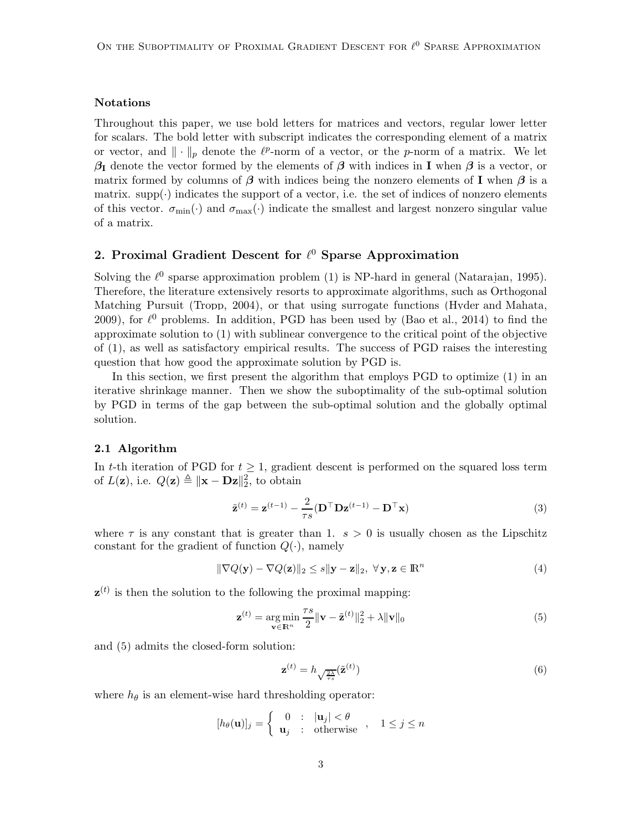#### Notations

Throughout this paper, we use bold letters for matrices and vectors, regular lower letter for scalars. The bold letter with subscript indicates the corresponding element of a matrix or vector, and  $\|\cdot\|_p$  denote the  $\ell^p$ -norm of a vector, or the p-norm of a matrix. We let  $\beta_I$  denote the vector formed by the elements of  $\beta$  with indices in I when  $\beta$  is a vector, or matrix formed by columns of  $\beta$  with indices being the nonzero elements of I when  $\beta$  is a matrix. supp $(\cdot)$  indicates the support of a vector, i.e. the set of indices of nonzero elements of this vector.  $\sigma_{\min}(\cdot)$  and  $\sigma_{\max}(\cdot)$  indicate the smallest and largest nonzero singular value of a matrix.

## 2. Proximal Gradient Descent for  $\ell^0$  Sparse Approximation

Solving the  $\ell^0$  sparse approximation problem [\(1\)](#page-0-0) is NP-hard in general [\(Natarajan](#page-14-3), [1995\)](#page-14-3). Therefore, the literature extensively resorts to approximate algorithms, such as Orthogonal Matching Pursuit [\(Tropp, 2004](#page-14-4)), or that using surrogate functions [\(Hyder and Mahata](#page-13-3), [2009\)](#page-13-3), for  $\ell^0$  problems. In addition, PGD has been used by [\(Bao et al.](#page-12-2), [2014](#page-12-2)) to find the approximate solution to [\(1\)](#page-0-0) with sublinear convergence to the critical point of the objective of [\(1\)](#page-0-0), as well as satisfactory empirical results. The success of PGD raises the interesting question that how good the approximate solution by PGD is.

In this section, we first present the algorithm that employs PGD to optimize [\(1\)](#page-0-0) in an iterative shrinkage manner. Then we show the suboptimality of the sub-optimal solution by PGD in terms of the gap between the sub-optimal solution and the globally optimal solution.

#### 2.1 Algorithm

In t-th iteration of PGD for  $t \geq 1$ , gradient descent is performed on the squared loss term of  $L(\mathbf{z})$ , i.e.  $Q(\mathbf{z}) \triangleq ||\mathbf{x} - \mathbf{Dz}||_2^2$ , to obtain

$$
\tilde{\mathbf{z}}^{(t)} = \mathbf{z}^{(t-1)} - \frac{2}{\tau s} (\mathbf{D}^\top \mathbf{D} \mathbf{z}^{(t-1)} - \mathbf{D}^\top \mathbf{x})
$$
\n(3)

where  $\tau$  is any constant that is greater than 1.  $s > 0$  is usually chosen as the Lipschitz constant for the gradient of function  $Q(\cdot)$ , namely

$$
\|\nabla Q(\mathbf{y}) - \nabla Q(\mathbf{z})\|_2 \le s \|\mathbf{y} - \mathbf{z}\|_2, \ \forall \mathbf{y}, \mathbf{z} \in \mathbb{R}^n \tag{4}
$$

 $z^{(t)}$  is then the solution to the following the proximal mapping:

$$
\mathbf{z}^{(t)} = \underset{\mathbf{v} \in \mathbb{R}^n}{\arg \min} \frac{\tau s}{2} \|\mathbf{v} - \tilde{\mathbf{z}}^{(t)}\|_2^2 + \lambda \|\mathbf{v}\|_0 \tag{5}
$$

and [\(5\)](#page-2-0) admits the closed-form solution:

<span id="page-2-2"></span><span id="page-2-1"></span><span id="page-2-0"></span>
$$
\mathbf{z}^{(t)} = h_{\sqrt{\frac{2\lambda}{\tau s}}}(\tilde{\mathbf{z}}^{(t)})
$$
\n(6)

where  $h_{\theta}$  is an element-wise hard thresholding operator:

$$
[h_{\theta}(\mathbf{u})]_j = \begin{cases} 0 & \text{: } |\mathbf{u}_j| < \theta \\ \mathbf{u}_j & \text{: } \text{otherwise} \end{cases}, \quad 1 \le j \le n
$$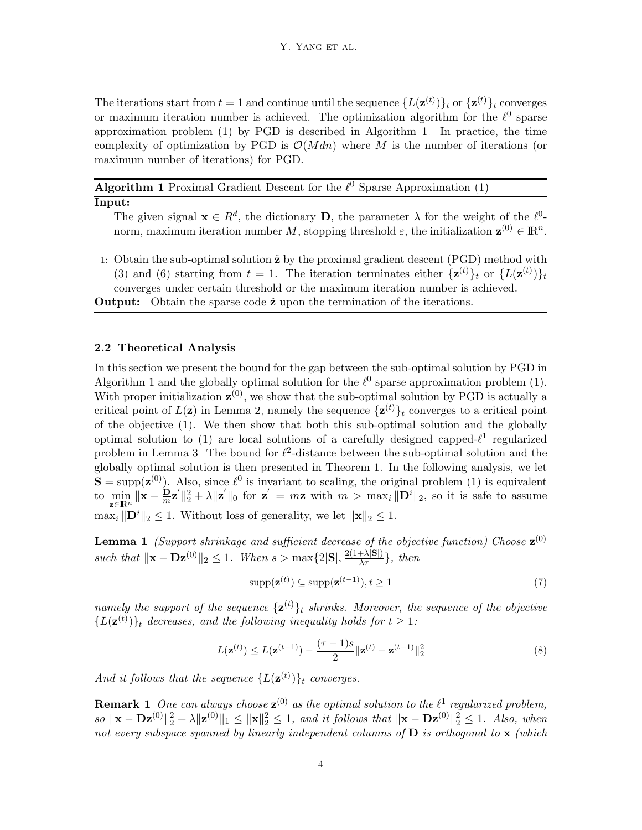The iterations start from  $t = 1$  and continue until the sequence  $\{L(\mathbf{z}^{(t)})\}_t$  or  $\{\mathbf{z}^{(t)}\}_t$  converges or maximum iteration number is achieved. The optimization algorithm for the  $\ell^0$  sparse approximation problem [\(1\)](#page-0-0) by PGD is described in Algorithm [1.](#page-3-0) In practice, the time complexity of optimization by PGD is  $\mathcal{O}(Mdn)$  where M is the number of iterations (or maximum number of iterations) for PGD.

<span id="page-3-0"></span>**Algorithm 1** Proximal Gradient Descent for the  $\ell^0$  Sparse Approximation [\(1\)](#page-0-0)

#### Input:

The given signal  $\mathbf{x} \in R^d$ , the dictionary **D**, the parameter  $\lambda$  for the weight of the  $\ell^0$ norm, maximum iteration number M, stopping threshold  $\varepsilon$ , the initialization  $\mathbf{z}^{(0)} \in \mathbb{R}^n$ .

1: Obtain the sub-optimal solution  $\tilde{z}$  by the proximal gradient descent (PGD) method with [\(3\)](#page-2-1) and [\(6\)](#page-2-2) starting from  $t = 1$ . The iteration terminates either  $\{z^{(t)}\}_t$  or  $\{L(z^{(t)})\}_t$ converges under certain threshold or the maximum iteration number is achieved.

**Output:** Obtain the sparse code  $\hat{z}$  upon the termination of the iterations.

#### 2.2 Theoretical Analysis

In this section we present the bound for the gap between the sub-optimal solution by PGD in Algorithm [1](#page-3-0) and the globally optimal solution for the  $\ell^0$  sparse approximation problem [\(1\)](#page-0-0). With proper initialization  $\mathbf{z}^{(0)}$ , we show that the sub-optimal solution by PGD is actually a critical point of  $L(\mathbf{z})$  in Lemma [2,](#page-4-0) namely the sequence  $\{\mathbf{z}^{(t)}\}_t$  converges to a critical point of the objective [\(1\)](#page-0-0). We then show that both this sub-optimal solution and the globally optimal solution to [\(1\)](#page-0-0) are local solutions of a carefully designed capped- $\ell^1$  regularized problem in Lemma [3.](#page-5-0) The bound for  $\ell^2$ -distance between the sub-optimal solution and the globally optimal solution is then presented in Theorem [1.](#page-5-1) In the following analysis, we let  $S = \text{supp}(\mathbf{z}^{(0)})$ . Also, since  $\ell^0$  is invariant to scaling, the original problem [\(1\)](#page-0-0) is equivalent to  $\min_{\mathbf{z}\in\mathbb{R}^n} \|\mathbf{x} - \frac{\mathbf{D}}{m}\mathbf{z}'\|_2^2 + \lambda \|\mathbf{z}'\|_0$  for  $\mathbf{z}' = m\mathbf{z}$  with  $m > \max_i \|\mathbf{D}^i\|_2$ , so it is safe to assume  $\max_i \|\mathbf{D}^i\|_2 \leq 1$ . Without loss of generality, we let  $\|\mathbf{x}\|_2 \leq 1$ .

<span id="page-3-1"></span>**Lemma 1** (Support shrinkage and sufficient decrease of the objective function) Choose  $\mathbf{z}^{(0)}$ such that  $\|\mathbf{x} - \mathbf{D}\mathbf{z}^{(0)}\|_2 \leq 1$ . When  $s > \max\{2|\mathbf{S}|, \frac{2(1+\lambda|\mathbf{S}|)}{\lambda \tau}\}\$ , then

<span id="page-3-3"></span><span id="page-3-2"></span>
$$
supp(\mathbf{z}^{(t)}) \subseteq supp(\mathbf{z}^{(t-1)}), t \ge 1
$$
\n(7)

namely the support of the sequence  $\{z^{(t)}\}_t$  shrinks. Moreover, the sequence of the objective  ${L(\mathbf{z}^{(t)})}_t$  decreases, and the following inequality holds for  $t \geq 1$ :

$$
L(\mathbf{z}^{(t)}) \le L(\mathbf{z}^{(t-1)}) - \frac{(\tau - 1)s}{2} \|\mathbf{z}^{(t)} - \mathbf{z}^{(t-1)}\|_2^2 \tag{8}
$$

And it follows that the sequence  $\{L(\mathbf{z}^{(t)})\}_t$  converges.

**Remark 1** One can always choose  $\mathbf{z}^{(0)}$  as the optimal solution to the  $\ell^1$  regularized problem,  $so \|\mathbf{x} - \mathbf{D} \mathbf{z}^{(0)}\|_2^2 + \lambda \|\mathbf{z}^{(0)}\|_1 \leq \|\mathbf{x}\|_2^2 \leq 1$ , and it follows that  $\|\mathbf{x} - \mathbf{D} \mathbf{z}^{(0)}\|_2^2 \leq 1$ . Also, when not every subspace spanned by linearly independent columns of  $D$  is orthogonal to  $x$  (which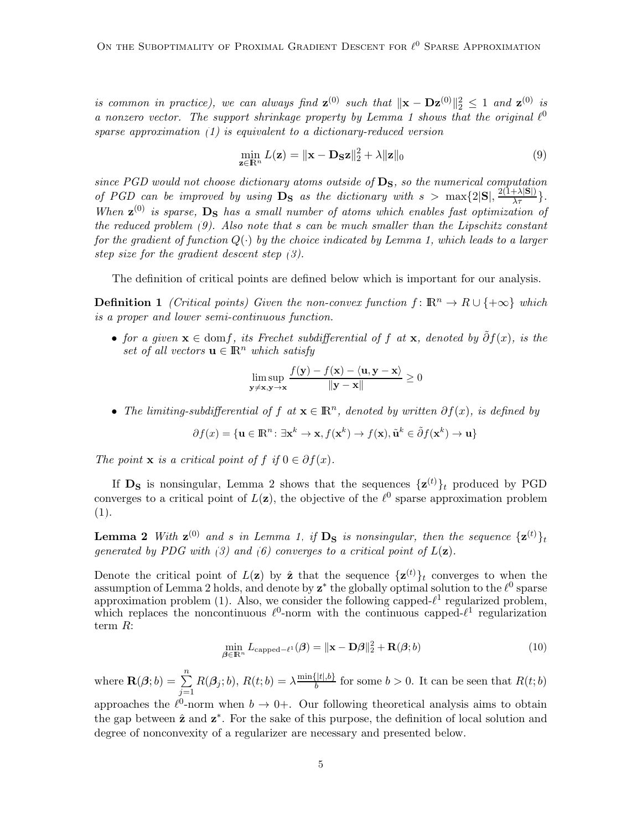is common in practice), we can always find  $\mathbf{z}^{(0)}$  such that  $\|\mathbf{x} - \mathbf{D}\mathbf{z}^{(0)}\|_2^2 \leq 1$  and  $\mathbf{z}^{(0)}$  is a nonzero vector. The support shrinkage property by Lemma [1](#page-3-1) shows that the original  $\ell^0$ sparse approximation [\(1\)](#page-0-0) is equivalent to a dictionary-reduced version

<span id="page-4-1"></span>
$$
\min_{\mathbf{z} \in \mathbb{R}^n} L(\mathbf{z}) = \|\mathbf{x} - \mathbf{D}_{\mathbf{S}}\mathbf{z}\|_2^2 + \lambda \|\mathbf{z}\|_0 \tag{9}
$$

since PGD would not choose dictionary atoms outside of  $D<sub>S</sub>$ , so the numerical computation of PGD can be improved by using  $\overrightarrow{D_S}$  as the dictionary with  $s > \max\{2|S|, \frac{2(1+\lambda|S|)}{\lambda \tau}\}.$ When  $z^{(0)}$  is sparse,  $D_s$  has a small number of atoms which enables fast optimization of the reduced problem [\(9\)](#page-4-1). Also note that s can be much smaller than the Lipschitz constant for the gradient of function  $Q(\cdot)$  by the choice indicated by Lemma [1,](#page-3-1) which leads to a larger step size for the gradient descent step [\(3\)](#page-2-1).

The definition of critical points are defined below which is important for our analysis.

**Definition 1** (Critical points) Given the non-convex function  $f: \mathbb{R}^n \to R \cup \{+\infty\}$  which is a proper and lower semi-continuous function.

• for a given  $\mathbf{x} \in \text{dom} f$ , its Frechet subdifferential of f at  $\mathbf{x}$ , denoted by  $\tilde{\partial} f(x)$ , is the set of all vectors  $\mathbf{u} \in \mathbb{R}^n$  which satisfy

$$
\limsup_{\mathbf{y}\neq\mathbf{x},\mathbf{y}\rightarrow\mathbf{x}}\frac{f(\mathbf{y})-f(\mathbf{x})-\langle\mathbf{u},\mathbf{y}-\mathbf{x}\rangle}{\|\mathbf{y}-\mathbf{x}\|}\geq 0
$$

• The limiting-subdifferential of f at  $\mathbf{x} \in \mathbb{R}^n$ , denoted by written  $\partial f(x)$ , is defined by

$$
\partial f(x) = \{ \mathbf{u} \in \mathbb{R}^n \colon \exists \mathbf{x}^k \to \mathbf{x}, f(\mathbf{x}^k) \to f(\mathbf{x}), \tilde{\mathbf{u}}^k \in \tilde{\partial} f(\mathbf{x}^k) \to \mathbf{u} \}
$$

The point **x** is a critical point of f if  $0 \in \partial f(x)$ .

If  $\mathbf{D_S}$  is nonsingular, Lemma [2](#page-4-0) shows that the sequences  $\{\mathbf{z}^{(t)}\}_t$  produced by PGD converges to a critical point of  $L(\mathbf{z})$ , the objective of the  $\ell^0$  sparse approximation problem [\(1\)](#page-0-0).

<span id="page-4-0"></span>**Lemma 2** With  $\mathbf{z}^{(0)}$  and s in Lemma [1,](#page-3-1) if  $D_S$  is nonsingular, then the sequence  $\{\mathbf{z}^{(t)}\}_t$ generated by PDG with [\(3\)](#page-2-1) and [\(6\)](#page-2-2) converges to a critical point of  $L(\mathbf{z})$ .

Denote the critical point of  $L(\mathbf{z})$  by  $\hat{\mathbf{z}}$  that the sequence  $\{\mathbf{z}^{(t)}\}_t$  converges to when the assumption of Lemma [2](#page-4-0) holds, and denote by  $z^*$  the globally optimal solution to the  $\ell^0$  sparse approximation problem [\(1\)](#page-0-0). Also, we consider the following capped- $\ell^1$  regularized problem, which replaces the noncontinuous  $\ell^0$ -norm with the continuous capped- $\ell^1$  regularization term R:

<span id="page-4-2"></span>
$$
\min_{\boldsymbol{\beta} \in \mathbb{R}^n} L_{\text{capped-}\ell^1}(\boldsymbol{\beta}) = \|\mathbf{x} - \mathbf{D}\boldsymbol{\beta}\|_2^2 + \mathbf{R}(\boldsymbol{\beta}; b)
$$
(10)

where  $\mathbf{R}(\boldsymbol{\beta};b) = \sum_{n=1}^{n}$  $j=1$  $R(\boldsymbol{\beta}_j; b), R(t;b) = \lambda \frac{\min\{|t|,b\}}{b}$  $\frac{b}{b}$  for some  $b > 0$ . It can be seen that  $R(t; b)$ 

approaches the  $\ell^0$ -norm when  $b \to 0+$ . Our following theoretical analysis aims to obtain the gap between  $\hat{z}$  and  $z^*$ . For the sake of this purpose, the definition of local solution and degree of nonconvexity of a regularizer are necessary and presented below.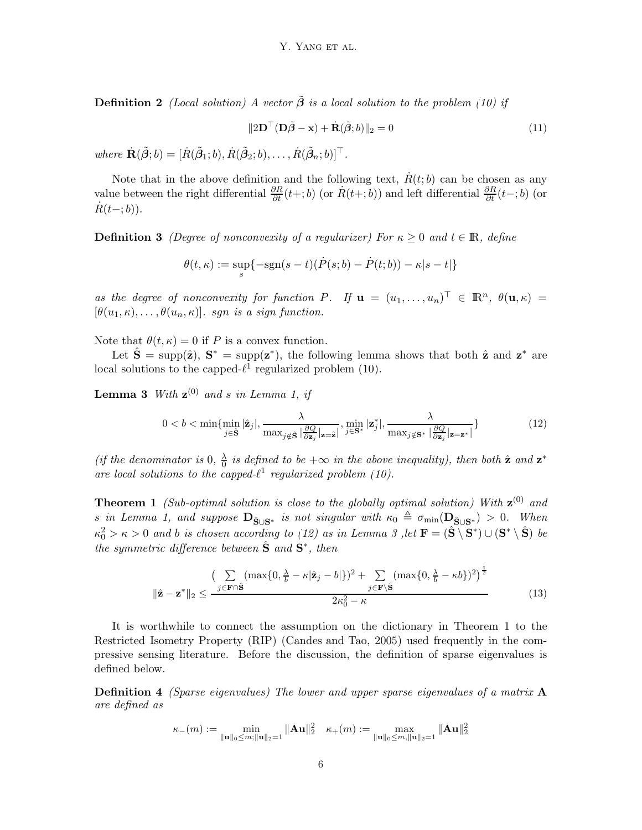**Definition 2** (Local solution) A vector  $\tilde{\boldsymbol{\beta}}$  is a local solution to the problem [\(10\)](#page-4-2) if

$$
||2\mathbf{D}^{\top}(\mathbf{D}\tilde{\boldsymbol{\beta}} - \mathbf{x}) + \dot{\mathbf{R}}(\tilde{\boldsymbol{\beta}};b)||_2 = 0
$$
\n(11)

where  $\dot{\mathbf{R}}(\tilde{\boldsymbol{\beta}};b) = [\dot{R}(\tilde{\boldsymbol{\beta}}_1;b), \dot{R}(\tilde{\boldsymbol{\beta}}_2;b), \dots, \dot{R}(\tilde{\boldsymbol{\beta}}_n;b)]^\top$ .

<span id="page-5-4"></span>Note that in the above definition and the following text,  $\dot{R}(t; b)$  can be chosen as any value between the right differential  $\frac{\partial R}{\partial t}(t+;b)$  (or  $\dot{R}(t+;b)$ ) and left differential  $\frac{\partial R}{\partial t}(t-;b)$  (or  $\dot{R}(t-;b)$ ).

**Definition 3** (Degree of nonconvexity of a regularizer) For  $\kappa \geq 0$  and  $t \in \mathbb{R}$ , define

<span id="page-5-0"></span>
$$
\theta(t,\kappa) := \sup_{s} \{-\text{sgn}(s-t)(\dot{P}(s;b) - \dot{P}(t;b)) - \kappa|s-t|\}
$$

as the degree of nonconvexity for function P. If  $\mathbf{u} = (u_1, \dots, u_n)^\top \in \mathbb{R}^n$ ,  $\theta(\mathbf{u}, \kappa) =$  $[\theta(u_1,\kappa), \ldots, \theta(u_n,\kappa)]$ . sgn is a sign function.

Note that  $\theta(t,\kappa) = 0$  if P is a convex function.

Let  $\hat{\mathbf{S}} = \text{supp}(\hat{\mathbf{z}})$ ,  $\mathbf{S}^* = \text{supp}(\mathbf{z}^*)$ , the following lemma shows that both  $\hat{\mathbf{z}}$  and  $\mathbf{z}^*$  are local solutions to the capped- $\ell^1$  regularized problem [\(10\)](#page-4-2).

**Lemma 3** With  $z^{(0)}$  and s in Lemma [1,](#page-3-1) if

<span id="page-5-2"></span>
$$
0 < b < \min\{\min_{j \in \hat{\mathbf{S}}} |\hat{\mathbf{z}}_j|, \frac{\lambda}{\max_{j \notin \hat{\mathbf{S}}} |\frac{\partial Q}{\partial \mathbf{z}_j}|\mathbf{z}=\hat{\mathbf{z}}|}, \min_{j \in \mathbf{S}^*} |\mathbf{z}_j^*|, \frac{\lambda}{\max_{j \notin \mathbf{S}^*} |\frac{\partial Q}{\partial \mathbf{z}_j}|\mathbf{z}=\mathbf{z}^*|}\}
$$
(12)

(if the denominator is 0,  $\frac{\lambda}{0}$ )  $\frac{\lambda}{0}$  is defined to be  $+\infty$  in the above inequality), then both  $\hat{\mathbf{z}}$  and  $\mathbf{z}^*$ are local solutions to the capped- $\ell^1$  regularized problem [\(10\)](#page-4-2).

<span id="page-5-1"></span>**Theorem 1** (Sub-optimal solution is close to the globally optimal solution) With  $z^{(0)}$  and s in Lemma [1,](#page-3-1) and suppose  $\mathbf{D}_{\hat{\mathbf{S}} \cup \mathbf{S}^*}$  is not singular with  $\kappa_0 \triangleq \sigma_{\min}(\mathbf{D}_{\hat{\mathbf{S}} \cup \mathbf{S}^*}) > 0$ . When  $\kappa_0^2 > \kappa > 0$  and b is chosen according to [\(12\)](#page-5-2) as in Lemma [3](#page-5-0) , let  $\mathbf{F} = (\hat{\mathbf{S}} \setminus \mathbf{S}^*) \cup (\mathbf{S}^* \setminus \hat{\mathbf{S}})$  be the symmetric difference between  $\hat{\mathbf{S}}$  and  $\mathbf{S}^*$ , then

<span id="page-5-3"></span>
$$
\|\hat{\mathbf{z}} - \mathbf{z}^*\|_2 \le \frac{\left(\sum\limits_{j \in \mathbf{F} \cap \hat{\mathbf{S}}} (\max\{0, \frac{\lambda}{b} - \kappa |\hat{\mathbf{z}}_j - b|\})^2 + \sum\limits_{j \in \mathbf{F} \setminus \hat{\mathbf{S}}} (\max\{0, \frac{\lambda}{b} - \kappa b\})^2\right)^{\frac{1}{2}}}{2\kappa_0^2 - \kappa} \tag{13}
$$

It is worthwhile to connect the assumption on the dictionary in Theorem [1](#page-5-1) to the Restricted Isometry Property (RIP) [\(Candes and Tao](#page-12-5), [2005](#page-12-5)) used frequently in the compressive sensing literature. Before the discussion, the definition of sparse eigenvalues is defined below.

**Definition 4** (Sparse eigenvalues) The lower and upper sparse eigenvalues of a matrix  $\bf{A}$ are defined as

$$
\kappa_-(m):=\min_{\|{\mathbf u}\|_0\le m;\|{\mathbf u}\|_2=1}\|{\mathbf A}{\mathbf u}\|_2^2\quad \kappa_+(m):=\max_{\|{\mathbf u}\|_0\le m,\|{\mathbf u}\|_2=1}\|{\mathbf A}{\mathbf u}\|_2^2
$$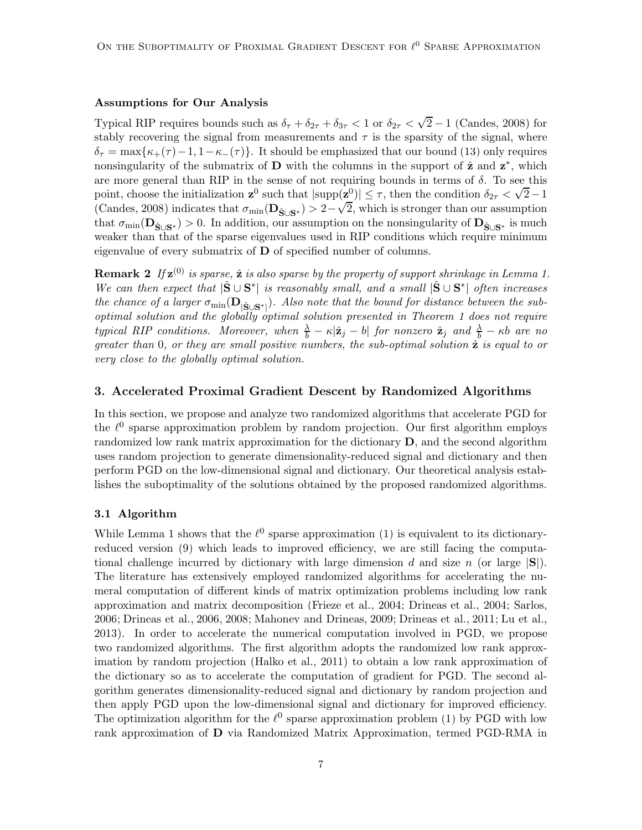## Assumptions for Our Analysis

Typical RIP requires bounds such as  $\delta_{\tau} + \delta_{2\tau} + \delta_{3\tau} < 1$  or  $\delta_{2\tau} < \sqrt{2} - 1$  [\(Candes, 2008](#page-12-4)) for stably recovering the signal from measurements and  $\tau$  is the sparsity of the signal, where  $\delta_{\tau} = \max{\kappa_{+}(\tau) - 1, 1 - \kappa_{-}(\tau)}$ . It should be emphasized that our bound [\(13\)](#page-5-3) only requires nonsingularity of the submatrix of **D** with the columns in the support of  $\hat{z}$  and  $z^*$ , which are more general than RIP in the sense of not requiring bounds in terms of  $\delta$ . To see this point, choose the initialization  $\mathbf{z}^0$  such that  $|\text{supp}(\mathbf{z}^0)| \leq \tau$ , then the condition  $\delta_{2\tau} < \sqrt{2}-1$ [\(Candes, 2008](#page-12-4)) indicates that  $\sigma_{\min}(\mathbf{D}_{\hat{\mathbf{S}} \cup \mathbf{S}^*}) > 2 - \sqrt{2}$ , which is stronger than our assumption that  $\sigma_{\min}(\mathbf{D}_{\hat{\mathbf{S}} \cup \mathbf{S}^*}) > 0$ . In addition, our assumption on the nonsingularity of  $\mathbf{D}_{\hat{\mathbf{S}} \cup \mathbf{S}^*}$  is much weaker than that of the sparse eigenvalues used in RIP conditions which require minimum eigenvalue of every submatrix of  **of specified number of columns.** 

**Remark 2** If  $z^{(0)}$  is sparse,  $\hat{z}$  is also sparse by the property of support shrinkage in Lemma [1.](#page-3-1) We can then expect that  $|\hat{S} \cup S^*|$  is reasonably small, and a small  $|\hat{S} \cup S^*|$  often increases the chance of a larger  $\sigma_{\min}(\mathbf{D}_{|\hat{\mathbf{S}} \cup \mathbf{S}^*|})$ . Also note that the bound for distance between the suboptimal solution and the globally optimal solution presented in Theorem [1](#page-5-1) does not require typical RIP conditions. Moreover, when  $\frac{\lambda}{b} - \kappa |\hat{\mathbf{z}}_j - b|$  for nonzero  $\hat{\mathbf{z}}_j$  and  $\frac{\lambda}{b} - \kappa b$  are no greater than  $0$ , or they are small positive numbers, the sub-optimal solution  $\hat{z}$  is equal to or very close to the globally optimal solution.

## 3. Accelerated Proximal Gradient Descent by Randomized Algorithms

In this section, we propose and analyze two randomized algorithms that accelerate PGD for the  $\ell^0$  sparse approximation problem by random projection. Our first algorithm employs randomized low rank matrix approximation for the dictionary  $D$ , and the second algorithm uses random projection to generate dimensionality-reduced signal and dictionary and then perform PGD on the low-dimensional signal and dictionary. Our theoretical analysis establishes the suboptimality of the solutions obtained by the proposed randomized algorithms.

#### 3.1 Algorithm

While Lemma [1](#page-3-1) shows that the  $\ell^0$  sparse approximation [\(1\)](#page-0-0) is equivalent to its dictionaryreduced version [\(9\)](#page-4-1) which leads to improved efficiency, we are still facing the computational challenge incurred by dictionary with large dimension d and size n (or large  $|\mathbf{S}|$ ). The literature has extensively employed randomized algorithms for accelerating the numeral computation of different kinds of matrix optimization problems including low rank approximation and matrix decomposition [\(Frieze et al., 2004;](#page-13-4) [Drineas et al.](#page-13-5), [2004](#page-13-5); [Sarlos,](#page-14-5) [2006;](#page-14-5) [Drineas et al., 2006](#page-13-6), [2008;](#page-13-7) [Mahoney and Drineas](#page-14-6), [2009](#page-14-6); [Drineas et al., 2011](#page-13-2); [Lu et al.](#page-14-7), [2013\)](#page-14-7). In order to accelerate the numerical computation involved in PGD, we propose two randomized algorithms. The first algorithm adopts the randomized low rank approximation by random projection [\(Halko et al., 2011\)](#page-13-8) to obtain a low rank approximation of the dictionary so as to accelerate the computation of gradient for PGD. The second algorithm generates dimensionality-reduced signal and dictionary by random projection and then apply PGD upon the low-dimensional signal and dictionary for improved efficiency. The optimization algorithm for the  $\ell^0$  sparse approximation problem [\(1\)](#page-0-0) by PGD with low rank approximation of D via Randomized Matrix Approximation, termed PGD-RMA in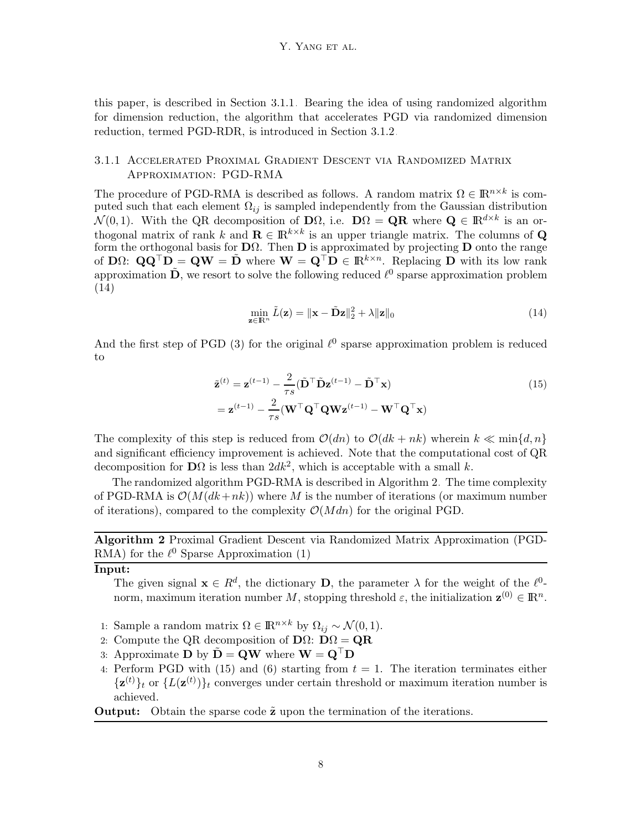this paper, is described in Section [3.1.1.](#page-7-0) Bearing the idea of using randomized algorithm for dimension reduction, the algorithm that accelerates PGD via randomized dimension reduction, termed PGD-RDR, is introduced in Section [3.1.2.](#page-8-0)

## <span id="page-7-0"></span>3.1.1 Accelerated Proximal Gradient Descent via Randomized Matrix Approximation: PGD-RMA

The procedure of PGD-RMA is described as follows. A random matrix  $\Omega \in \mathbb{R}^{n \times k}$  is computed such that each element  $\Omega_{ij}$  is sampled independently from the Gaussian distribution  $\mathcal{N}(0,1)$ . With the QR decomposition of  $\mathbf{D}\Omega$ , i.e.  $\mathbf{D}\Omega = \mathbf{Q}\mathbf{R}$  where  $\mathbf{Q} \in \mathbb{R}^{d \times k}$  is an orthogonal matrix of rank k and  $\mathbf{R} \in \mathbb{R}^{k \times k}$  is an upper triangle matrix. The columns of Q form the orthogonal basis for  $\mathbf{D}\Omega$ . Then  $\mathbf{D}$  is approximated by projecting  $\mathbf{D}$  onto the range of  $\mathbf{D}\Omega$ :  $\mathbf{Q}\mathbf{Q}^{\top}\mathbf{D} = \mathbf{Q}\mathbf{W} = \tilde{\mathbf{D}}$  where  $\mathbf{W} = \mathbf{Q}^{\top}\mathbf{D} \in \mathbb{R}^{k \times n}$ . Replacing  $\mathbf{D}$  with its low rank approximation  $\tilde{D}$ , we resort to solve the following reduced  $\ell^0$  sparse approximation problem [\(14\)](#page-7-1)

<span id="page-7-3"></span><span id="page-7-1"></span>
$$
\min_{\mathbf{z} \in \mathbb{R}^n} \tilde{L}(\mathbf{z}) = \|\mathbf{x} - \tilde{\mathbf{D}}\mathbf{z}\|_2^2 + \lambda \|\mathbf{z}\|_0 \tag{14}
$$

And the first step of PGD  $(3)$  for the original  $\ell^0$  sparse approximation problem is reduced to

$$
\tilde{\mathbf{z}}^{(t)} = \mathbf{z}^{(t-1)} - \frac{2}{\tau s} (\tilde{\mathbf{D}}^\top \tilde{\mathbf{D}} \mathbf{z}^{(t-1)} - \tilde{\mathbf{D}}^\top \mathbf{x})
$$
\n
$$
= \mathbf{z}^{(t-1)} - \frac{2}{\tau s} (\mathbf{W}^\top \mathbf{Q}^\top \mathbf{Q} \mathbf{W} \mathbf{z}^{(t-1)} - \mathbf{W}^\top \mathbf{Q}^\top \mathbf{x})
$$
\n(15)

The complexity of this step is reduced from  $\mathcal{O}(dn)$  to  $\mathcal{O}(dk + nk)$  wherein  $k \ll \min\{d, n\}$ and significant efficiency improvement is achieved. Note that the computational cost of QR decomposition for  $\mathbf{D}\Omega$  is less than  $2dk^2$ , which is acceptable with a small k.

The randomized algorithm PGD-RMA is described in Algorithm [2.](#page-7-2) The time complexity of PGD-RMA is  $\mathcal{O}(M(dk+nk))$  where M is the number of iterations (or maximum number of iterations), compared to the complexity  $\mathcal{O}(Mdn)$  for the original PGD.

Algorithm 2 Proximal Gradient Descent via Randomized Matrix Approximation (PGD-RMA) for the  $\ell^0$  Sparse Approximation [\(1\)](#page-0-0)

## <span id="page-7-2"></span>Input:

The given signal  $\mathbf{x} \in R^d$ , the dictionary **D**, the parameter  $\lambda$  for the weight of the  $\ell^0$ norm, maximum iteration number M, stopping threshold  $\varepsilon$ , the initialization  $\mathbf{z}^{(0)} \in \mathbb{R}^n$ .

- 1: Sample a random matrix  $\Omega \in \mathbb{R}^{n \times k}$  by  $\Omega_{ij} \sim \mathcal{N}(0, 1)$ .
- 2: Compute the QR decomposition of  $\mathbf{D}\Omega$ :  $\mathbf{D}\Omega = \mathbf{Q}\mathbf{R}$
- 3: Approximate D by  $\mathbf{D} = \mathbf{Q}\mathbf{W}$  where  $\mathbf{W} = \mathbf{Q}^\top \mathbf{D}$
- 4: Perform PGD with [\(15\)](#page-7-3) and [\(6\)](#page-2-2) starting from  $t = 1$ . The iteration terminates either  $\{z^{(t)}\}_t$  or  $\{L(z^{(t)})\}_t$  converges under certain threshold or maximum iteration number is achieved.

**Output:** Obtain the sparse code  $\tilde{z}$  upon the termination of the iterations.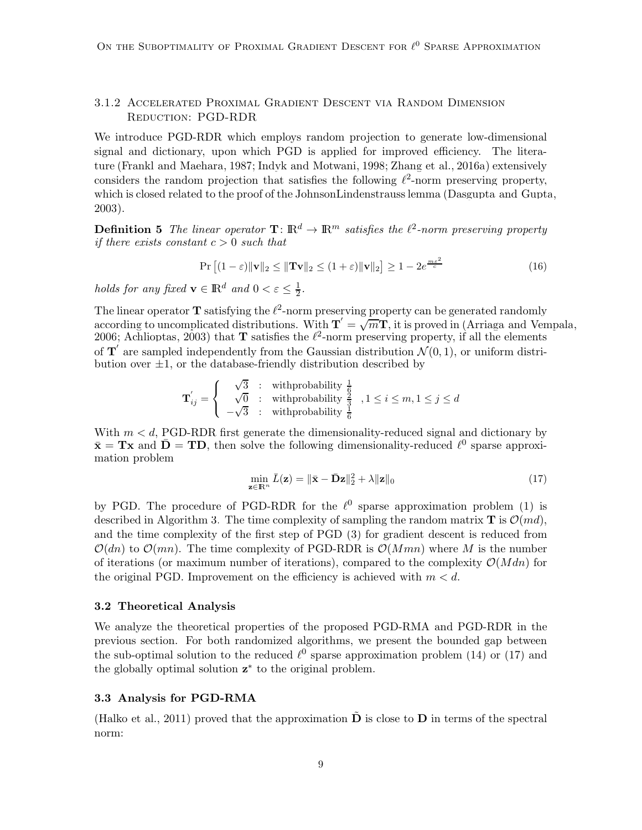## <span id="page-8-0"></span>3.1.2 Accelerated Proximal Gradient Descent via Random Dimension Reduction: PGD-RDR

We introduce PGD-RDR which employs random projection to generate low-dimensional signal and dictionary, upon which PGD is applied for improved efficiency. The literature [\(Frankl and Maehara](#page-13-9), [1987](#page-13-9); [Indyk and Motwani, 1998](#page-13-10); [Zhang et al.](#page-14-8), [2016a](#page-14-8)) extensively considers the random projection that satisfies the following  $\ell^2$ -norm preserving property, which is closed related to the proof of the JohnsonLindenstrauss lemma [\(Dasgupta and Gupta,](#page-12-6) [2003\)](#page-12-6).

<span id="page-8-2"></span>**Definition 5** The linear operator  $\mathbf{T} : \mathbb{R}^d \to \mathbb{R}^m$  satisfies the  $\ell^2$ -norm preserving property if there exists constant  $c > 0$  such that

$$
\Pr\left[(1-\varepsilon)\|\mathbf{v}\|_2 \le \|\mathbf{Tv}\|_2 \le (1+\varepsilon)\|\mathbf{v}\|_2\right] \ge 1 - 2e^{\frac{m\varepsilon^2}{c}}\tag{16}
$$

holds for any fixed  $\mathbf{v} \in \mathbb{R}^d$  and  $0 < \varepsilon \leq \frac{1}{2}$  $\frac{1}{2}$ .

The linear operator **T** satisfying the  $\ell^2$ -norm preserving property can be generated randomly according to uncomplicated distributions. With  $\mathbf{T}' = \sqrt{m}\mathbf{T}$ , it is proved in [\(Arriaga and Vempala](#page-12-7), [2006;](#page-12-7) [Achlioptas](#page-12-8), [2003\)](#page-12-8) that **T** satisfies the  $\ell^2$ -norm preserving property, if all the elements of  $T'$  are sampled independently from the Gaussian distribution  $\mathcal{N}(0, 1)$ , or uniform distribution over  $\pm 1$ , or the database-friendly distribution described by

$$
\mathbf{T}^{'}_{ij} = \left\{ \begin{array}{rcl} \sqrt{3} & : & \text{withprobability} \ \frac{1}{6} \\ \sqrt{0} & : & \text{withprobability} \ \frac{2}{3} \\ -\sqrt{3} & : & \text{withprobability} \ \frac{1}{6} \end{array} \right. , 1 \leq i \leq m, 1 \leq j \leq d
$$

With  $m < d$ , PGD-RDR first generate the dimensionality-reduced signal and dictionary by  $\bar{\mathbf{x}} = \mathbf{T} \mathbf{x}$  and  $\bar{\mathbf{D}} = \mathbf{T} \mathbf{D}$ , then solve the following dimensionality-reduced  $\ell^0$  sparse approximation problem

<span id="page-8-1"></span>
$$
\min_{\mathbf{z}\in\mathbb{R}^n} \bar{L}(\mathbf{z}) = \|\bar{\mathbf{x}} - \bar{\mathbf{D}}\mathbf{z}\|_2^2 + \lambda \|\mathbf{z}\|_0 \tag{17}
$$

by PGD. The procedure of PGD-RDR for the  $\ell^0$  sparse approximation problem [\(1\)](#page-0-0) is described in Algorithm [3.](#page-9-0) The time complexity of sampling the random matrix **T** is  $\mathcal{O}(md)$ , and the time complexity of the first step of PGD [\(3\)](#page-2-1) for gradient descent is reduced from  $\mathcal{O}(dn)$  to  $\mathcal{O}(mn)$ . The time complexity of PGD-RDR is  $\mathcal{O}(Mmn)$  where M is the number of iterations (or maximum number of iterations), compared to the complexity  $\mathcal{O}(Mdn)$  for the original PGD. Improvement on the efficiency is achieved with  $m < d$ .

#### 3.2 Theoretical Analysis

We analyze the theoretical properties of the proposed PGD-RMA and PGD-RDR in the previous section. For both randomized algorithms, we present the bounded gap between the sub-optimal solution to the reduced  $\ell^0$  sparse approximation problem [\(14\)](#page-7-1) or [\(17\)](#page-8-1) and the globally optimal solution  $z^*$  to the original problem.

#### 3.3 Analysis for PGD-RMA

<span id="page-8-3"></span>[\(Halko et al., 2011\)](#page-13-8) proved that the approximation  $\tilde{\mathbf{D}}$  is close to  $\mathbf{D}$  in terms of the spectral norm: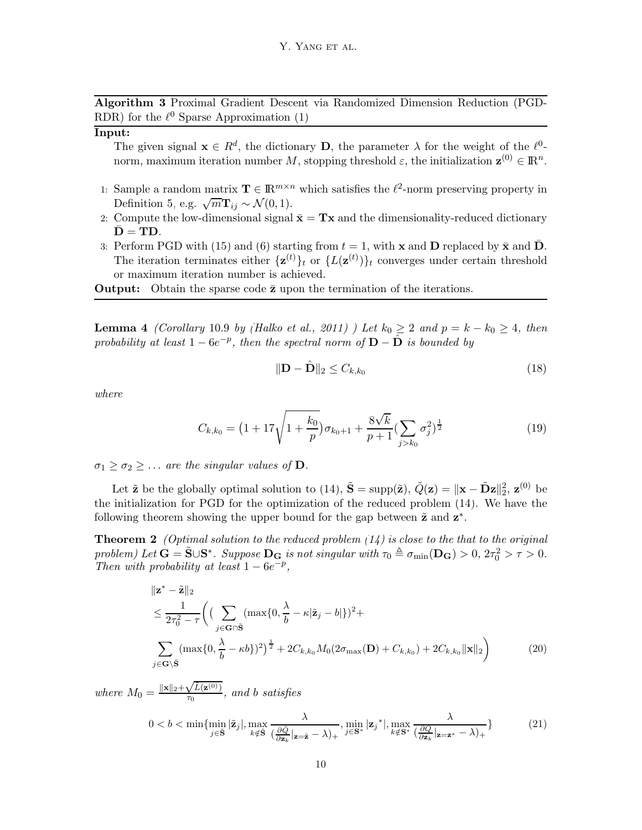Algorithm 3 Proximal Gradient Descent via Randomized Dimension Reduction (PGD-RDR) for the  $\ell^0$  Sparse Approximation [\(1\)](#page-0-0)

## <span id="page-9-0"></span>Input:

The given signal  $\mathbf{x} \in R^d$ , the dictionary **D**, the parameter  $\lambda$  for the weight of the  $\ell^0$ norm, maximum iteration number M, stopping threshold  $\varepsilon$ , the initialization  $\mathbf{z}^{(0)} \in \mathbb{R}^n$ .

- 1: Sample a random matrix  $\mathbf{T} \in \mathbb{R}^{m \times n}$  which satisfies the  $\ell^2$ -norm preserving property in Definition [5,](#page-8-2) e.g.  $\sqrt{m}\mathbf{T}_{ij} \sim \mathcal{N}(0, 1)$ .
- 2: Compute the low-dimensional signal  $\bar{\mathbf{x}} = \mathbf{T}\mathbf{x}$  and the dimensionality-reduced dictionary  $D = TD$ .
- 3: Perform PGD with [\(15\)](#page-7-3) and [\(6\)](#page-2-2) starting from  $t = 1$ , with x and D replaced by  $\bar{x}$  and D. The iteration terminates either  $\{z^{(t)}\}_t$  or  $\{L(z^{(t)})\}_t$  converges under certain threshold or maximum iteration number is achieved.

**Output:** Obtain the sparse code  $\bar{z}$  upon the termination of the iterations.

**Lemma 4** (Corollary 10.9 by [\(Halko et al.](#page-13-8), [2011](#page-13-8)) ) Let  $k_0 \geq 2$  and  $p = k - k_0 \geq 4$ , then probability at least  $1 - 6e^{-p}$ , then the spectral norm of  $D - \hat{D}$  is bounded by

<span id="page-9-1"></span>
$$
\|\mathbf{D} - \hat{\mathbf{D}}\|_2 \le C_{k,k_0} \tag{18}
$$

where

$$
C_{k,k_0} = \left(1 + 17\sqrt{1 + \frac{k_0}{p}}\right)\sigma_{k_0+1} + \frac{8\sqrt{k}}{p+1} \left(\sum_{j>k_0} \sigma_j^2\right)^{\frac{1}{2}}
$$
(19)

 $\sigma_1 \geq \sigma_2 \geq \ldots$  are the singular values of **D**.

Let  $\tilde{\mathbf{z}}$  be the globally optimal solution to [\(14\)](#page-7-1),  $\tilde{\mathbf{S}} = \text{supp}(\tilde{\mathbf{z}})$ ,  $\tilde{Q}(\mathbf{z}) = ||\mathbf{x} - \tilde{\mathbf{D}}\mathbf{z}||_2^2$ ,  $\mathbf{z}^{(0)}$  be the initialization for PGD for the optimization of the reduced problem [\(14\)](#page-7-1). We have the following theorem showing the upper bound for the gap between  $\tilde{\mathbf{z}}$  and  $\mathbf{z}^*$ .

**Theorem 2** (Optimal solution to the reduced problem  $(14)$  is close to the that to the original problem) Let  $\mathbf{G} = \tilde{\mathbf{S}} \cup \mathbf{S}^*$ . Suppose  $\mathbf{D}_{\mathbf{G}}$  is not singular with  $\tau_0 \triangleq \sigma_{\min}(\mathbf{D}_{\mathbf{G}}) > 0$ ,  $2\tau_0^2 > \tau > 0$ . Then with probability at least  $1 - 6e^{-p}$ ,

$$
\| \mathbf{z}^* - \tilde{\mathbf{z}} \|_2
$$
  
\n
$$
\leq \frac{1}{2\tau_0^2 - \tau} \Biggl( \biggl( \sum_{j \in \mathbf{G} \cap \tilde{\mathbf{S}}} (\max\{0, \frac{\lambda}{b} - \kappa |\tilde{\mathbf{z}}_j - b| \})^2 + \sum_{j \in \mathbf{G} \setminus \tilde{\mathbf{S}}} (\max\{0, \frac{\lambda}{b} - \kappa b\})^2 \Biggr)^{\frac{1}{2}} + 2C_{k,k_0} M_0 (2\sigma_{\max}(\mathbf{D}) + C_{k,k_0}) + 2C_{k,k_0} \|\mathbf{x}\|_2 \Biggr)
$$
 (20)

where  $M_0 = \frac{\|\mathbf{x}\|_2 + \sqrt{\tilde{L}(\mathbf{z}^{(0)})}}{\tau_0}$  $\frac{\sqrt{L(2^{(1)})}}{\tau_0}$ , and b satisfies

$$
0 < b < \min\{\min_{j \in \tilde{\mathbf{S}}} |\tilde{\mathbf{z}}_j|, \max_{k \notin \tilde{\mathbf{S}}} \frac{\lambda}{(\frac{\partial \tilde{Q}}{\partial \mathbf{z}_k}|\mathbf{z} = \tilde{\mathbf{z}} - \lambda)_+}, \min_{j \in \mathbf{S}^*} |\mathbf{z}_j^*|, \max_{k \notin \mathbf{S}^*} \frac{\lambda}{(\frac{\partial Q}{\partial \mathbf{z}_k}|\mathbf{z} = \mathbf{z}^* - \lambda)_+}\} \tag{21}
$$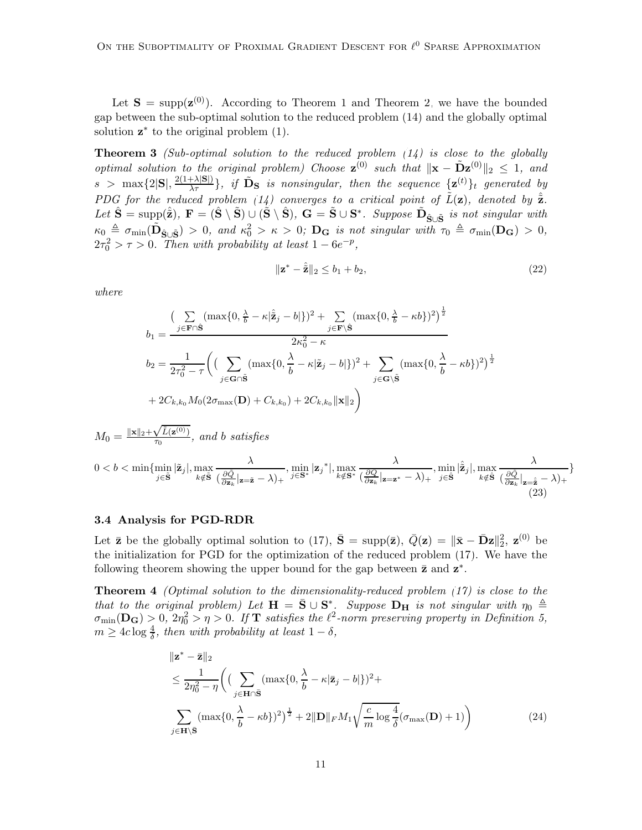Let  $S = \text{supp}(\mathbf{z}^{(0)})$ . According to Theorem [1](#page-5-1) and Theorem [2,](#page-9-1) we have the bounded gap between the sub-optimal solution to the reduced problem [\(14\)](#page-7-1) and the globally optimal solution  $z^*$  to the original problem  $(1)$ .

**Theorem 3** (Sub-optimal solution to the reduced problem  $(14)$  is close to the globally optimal solution to the original problem) Choose  $\mathbf{z}^{(0)}$  such that  $\|\mathbf{x} - \tilde{\mathbf{D}}\mathbf{z}^{(0)}\|_2 \leq 1$ , and  $s > \max\{2|S|, \frac{2(1+\lambda|S|)}{\lambda \tau}\}\$ , if  $\tilde{D}_S$  is nonsingular, then the sequence  $\{z^{(t)}\}_t$  generated by PDG for the reduced problem [\(14\)](#page-7-1) converges to a critical point of  $\tilde{L}(\mathbf{z})$ , denoted by  $\hat{\tilde{\mathbf{z}}}$ . Let  $\hat{\mathbf{S}} = \text{supp}(\hat{\tilde{\mathbf{z}}})$ ,  $\mathbf{F} = (\hat{\mathbf{S}} \setminus \tilde{\mathbf{S}}) \cup (\tilde{\mathbf{S}} \setminus \hat{\mathbf{S}})$ ,  $\mathbf{G} = \tilde{\mathbf{S}} \cup \mathbf{S}^*$ . Suppose  $\tilde{\mathbf{D}}_{\hat{\mathbf{S}} \cup \tilde{\mathbf{S}}}$  is not singular with  $\kappa_0 \triangleq \sigma_{\min}(\tilde{\textbf{D}}_{\hat{\textbf{S}} \cup \tilde{\textbf{S}}}) > 0$ , and  $\kappa_0^2 > \kappa > 0$ ;  $\textbf{D}_{\textbf{G}}$  is not singular with  $\tau_0 \triangleq \sigma_{\min}(\textbf{D}_{\textbf{G}}) > 0$ ,  $2\tau_0^2 > \tau > 0$ . Then with probability at least  $1 - 6e^{-p}$ ,

$$
\|\mathbf{z}^* - \hat{\mathbf{z}}\|_2 \le b_1 + b_2,\tag{22}
$$

where

$$
b_1 = \frac{\left(\sum\limits_{j \in \mathbf{F} \cap \hat{\mathbf{S}}} (\max\{0, \frac{\lambda}{b} - \kappa | \hat{\mathbf{z}}_j - b| \})^2 + \sum\limits_{j \in \mathbf{F} \setminus \hat{\mathbf{S}}} (\max\{0, \frac{\lambda}{b} - \kappa b\})^2 \right)^{\frac{1}{2}}}{2\kappa_0^2 - \kappa}
$$
  

$$
b_2 = \frac{1}{2\tau_0^2 - \tau} \left( \left(\sum\limits_{j \in \mathbf{G} \cap \tilde{\mathbf{S}}} (\max\{0, \frac{\lambda}{b} - \kappa | \tilde{\mathbf{z}}_j - b| \})^2 + \sum\limits_{j \in \mathbf{G} \setminus \tilde{\mathbf{S}}} (\max\{0, \frac{\lambda}{b} - \kappa b\})^2 \right)^{\frac{1}{2}}
$$
  

$$
+ 2C_{k,k_0} M_0 (2\sigma_{\max}(\mathbf{D}) + C_{k,k_0}) + 2C_{k,k_0} \|\mathbf{x}\|_2 \right)
$$

$$
M_0 = \frac{\|\mathbf{x}\|_2 + \sqrt{\tilde{L}(\mathbf{z}^{(0)})}}{\tau_0}, \text{ and } b \text{ satisfies}
$$
  
 
$$
0 < b < \min\{\min_{j \in \tilde{\mathbf{S}}} |\tilde{\mathbf{z}}_j|, \max_{k \notin \tilde{\mathbf{S}}} \frac{\lambda}{(\frac{\partial \tilde{Q}}{\partial \mathbf{z}_k}|\mathbf{z} = \tilde{\mathbf{z}} - \lambda)_+}, \min_{j \in \mathbf{S}^*} |\mathbf{z}_j^*|, \max_{k \notin \mathbf{S}^*} \frac{\lambda}{(\frac{\partial Q}{\partial \mathbf{z}_k}|\mathbf{z} = \mathbf{z}^* - \lambda)_+}, \min_{j \in \tilde{\mathbf{S}}} |\hat{\tilde{\mathbf{z}}}_j|, \max_{k \notin \tilde{\mathbf{S}}} \frac{\lambda}{(\frac{\partial \tilde{Q}}{\partial \mathbf{z}_k}|\mathbf{z} = \hat{\mathbf{z}} - \lambda)_+}\}
$$
(23)

#### 3.4 Analysis for PGD-RDR

Let  $\bar{z}$  be the globally optimal solution to [\(17\)](#page-8-1),  $\bar{S} = \text{supp}(\bar{z})$ ,  $\bar{Q}(z) = ||\bar{x} - \bar{D}z||_2^2$ ,  $z^{(0)}$  be the initialization for PGD for the optimization of the reduced problem [\(17\)](#page-8-1). We have the following theorem showing the upper bound for the gap between  $\bar{z}$  and  $z^*$ .

**Theorem 4** (Optimal solution to the dimensionality-reduced problem  $(17)$  is close to the that to the original problem) Let  $\mathbf{H} = \bar{\mathbf{S}} \cup \mathbf{S}^*$ . Suppose  $\mathbf{D}_{\mathbf{H}}$  is not singular with  $\eta_0 \triangleq$  $\sigma_{\min}(\mathbf{D}_{\mathbf{G}}) > 0$ ,  $2\eta_0^2 > \eta > 0$ . If  $\mathbf T$  satisfies the  $\ell^2$ -norm preserving property in Definition [5,](#page-8-2)  $m \geq 4c \log \frac{4}{\delta}$ , then with probability at least  $1 - \delta$ ,

<span id="page-10-0"></span>
$$
\|\mathbf{z}^* - \bar{\mathbf{z}}\|_2
$$
  
\n
$$
\leq \frac{1}{2\eta_0^2 - \eta} \Big( \Big( \sum_{j \in \mathbf{H} \cap \bar{\mathbf{S}}} (\max\{0, \frac{\lambda}{b} - \kappa |\bar{\mathbf{z}}_j - b| \})^2 +
$$
  
\n
$$
\sum_{j \in \mathbf{H} \setminus \bar{\mathbf{S}}} (\max\{0, \frac{\lambda}{b} - \kappa b\})^2 \Big)^{\frac{1}{2}} + 2 \|\mathbf{D}\|_F M_1 \sqrt{\frac{c}{m} \log \frac{4}{\delta}} (\sigma_{\max}(\mathbf{D}) + 1) \Big)
$$
(24)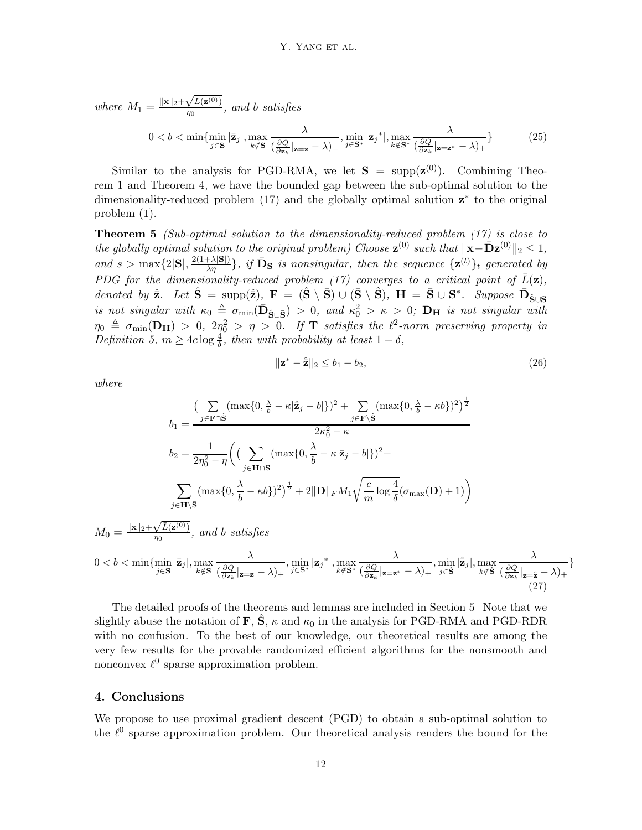where  $M_1 = \frac{\|\mathbf{x}\|_2 + \sqrt{\bar{L}(\mathbf{z}^{(0)})}}{n_0}$  $\frac{\sqrt{L(2^{(2)})}}{\eta_0}$ , and b satisfies  $0 < b < \min \{\min_{j \in \bar{\mathbf{S}}} |\bar{\mathbf{z}}_j|, \max_{k \notin \bar{\mathbf{S}}}$ λ  $\left(\frac{\partial \bar{Q}}{\partial \mathbf{z}_L}\right)$  $\frac{\partial Q}{\partial \mathbf{z}_k} |_{\mathbf{z} = \bar{\mathbf{z}}} - \lambda)_+$  $,\min_{j\in\mathbf{S}^*}|\mathbf{z}_j^*|,\max_{k\notin\mathbf{S}^*}$ λ  $(\frac{\partial Q}{\partial \mathbf{z}_k} |_{\mathbf{z}=\mathbf{z}^*} - \lambda)_+$  $(25)$ 

Similar to the analysis for PGD-RMA, we let  $S = \text{supp}(\mathbf{z}^{(0)})$ . Combining Theorem [1](#page-5-1) and Theorem [4,](#page-10-0) we have the bounded gap between the sub-optimal solution to the dimensionality-reduced problem  $(17)$  and the globally optimal solution  $z^*$  to the original problem [\(1\)](#page-0-0).

**Theorem 5** (Sub-optimal solution to the dimensionality-reduced problem  $(17)$  is close to the globally optimal solution to the original problem) Choose  $\mathbf{z}^{(0)}$  such that  $\|\mathbf{x}-\bar{\mathbf{D}}\mathbf{z}^{(0)}\|_2 \leq 1$ , and  $s > \max\{2|S|, \frac{2(1+\lambda|S|)}{\lambda\eta}\}\$ , if  $\bar{D}_S$  is nonsingular, then the sequence  $\{z^{(t)}\}_t$  generated by PDG for the dimensionality-reduced problem [\(17\)](#page-8-1) converges to a critical point of  $\bar{L}(\mathbf{z})$ , denoted by  $\hat{\mathbf{z}}$ . Let  $\hat{\mathbf{S}} = \text{supp}(\hat{\mathbf{z}})$ ,  $\mathbf{F} = (\hat{\mathbf{S}} \setminus \bar{\mathbf{S}}) \cup (\bar{\mathbf{S}} \setminus \hat{\mathbf{S}})$ ,  $\mathbf{H} = \bar{\mathbf{S}} \cup \mathbf{S}^*$ . Suppose  $\bar{\mathbf{D}}_{\hat{\mathbf{S}} \cup \bar{\mathbf{S}}}$ is not singular with  $\kappa_0 \triangleq \sigma_{\min}(\bar{\mathbf{D}}_{\hat{\mathbf{S}} \cup \bar{\mathbf{S}}}) > 0$ , and  $\kappa_0^2 > \kappa > 0$ ;  $\mathbf{D_H}$  is not singular with  $\eta_0 \triangleq \sigma_{\min}({\bf D_H}) > 0, \; 2\eta_0^2 > \eta > 0. \;\; \textit{If $\bf T$ satisfies the $\ell^2$-norm preserving property in}$ Definition [5,](#page-8-2)  $m \geq 4c \log \frac{4}{\delta}$ , then with probability at least  $1 - \delta$ ,

$$
\|\mathbf{z}^* - \hat{\mathbf{z}}\|_2 \le b_1 + b_2,\tag{26}
$$

where

$$
b_1 = \frac{\left(\sum\limits_{j \in \mathbf{F} \cap \hat{\mathbf{S}}}\left(\max\{0, \frac{\lambda}{b} - \kappa | \hat{\mathbf{z}}_j - b| \}\right)^2 + \sum\limits_{j \in \mathbf{F} \setminus \hat{\mathbf{S}}}\left(\max\{0, \frac{\lambda}{b} - \kappa b\}\right)^2\right)^{\frac{1}{2}}}{2\kappa_0^2 - \kappa}
$$

$$
b_2 = \frac{1}{2\eta_0^2 - \eta} \left( \left(\sum\limits_{j \in \mathbf{H} \cap \hat{\mathbf{S}}}\left(\max\{0, \frac{\lambda}{b} - \kappa | \hat{\mathbf{z}}_j - b| \}\right)^2 + \sum\limits_{j \in \mathbf{H} \setminus \hat{\mathbf{S}}}\left(\max\{0, \frac{\lambda}{b} - \kappa b\}\right)^2\right)^{\frac{1}{2}} + 2\|\mathbf{D}\|_F M_1 \sqrt{\frac{c}{m}} \log \frac{4}{\delta} (\sigma_{\max}(\mathbf{D}) + 1) \right)
$$

$$
\|\mathbf{z} + \sqrt{\bar{L}(\mathbf{z}^{(0)})} \quad \text{and } \mathbf{b} \text{ satisfies}
$$

$$
M_0 = \frac{\|\mathbf{x}\|_2 + \sqrt{L(\mathbf{z}^{(0)})}}{\eta_0}, \text{ and } b \text{ satisfies}
$$
  
 
$$
0 < b < \min\{\min_{j \in \mathbf{S}} |\bar{\mathbf{z}}_j|, \max_{k \notin \mathbf{S}} \frac{\lambda}{(\frac{\partial \bar{Q}}{\partial \mathbf{z}_k} | \mathbf{z} = \bar{\mathbf{z}} - \lambda)_+}, \min_{j \in \mathbf{S}^*} |\mathbf{z}_j^*|, \max_{k \notin \mathbf{S}^*} \frac{\lambda}{(\frac{\partial \bar{Q}}{\partial \mathbf{z}_k} | \mathbf{z} = \mathbf{z}^* - \lambda)_+}, \min_{j \in \mathbf{S}} |\hat{\mathbf{z}}_j|, \max_{k \notin \mathbf{S}} \frac{\lambda}{(\frac{\partial \bar{Q}}{\partial \mathbf{z}_k} | \mathbf{z} = \hat{\mathbf{z}} - \lambda)_+}\}
$$
(27)

The detailed proofs of the theorems and lemmas are included in Section [5.](#page-14-9) Note that we slightly abuse the notation of **F**,  $\ddot{\mathbf{S}}$ ,  $\kappa$  and  $\kappa_0$  in the analysis for PGD-RMA and PGD-RDR with no confusion. To the best of our knowledge, our theoretical results are among the very few results for the provable randomized efficient algorithms for the nonsmooth and nonconvex  $\ell^0$  sparse approximation problem.

#### 4. Conclusions

We propose to use proximal gradient descent (PGD) to obtain a sub-optimal solution to the  $\ell^0$  sparse approximation problem. Our theoretical analysis renders the bound for the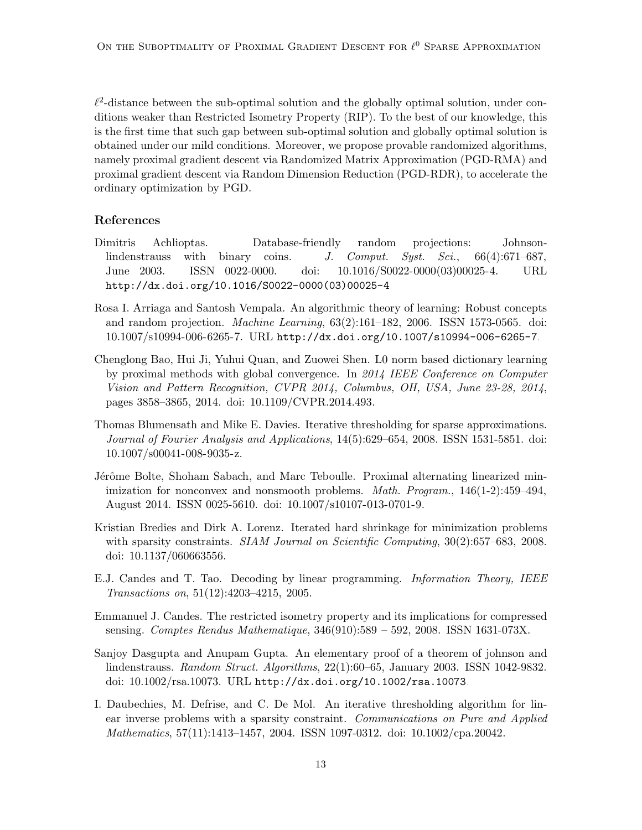$\ell^2$ -distance between the sub-optimal solution and the globally optimal solution, under conditions weaker than Restricted Isometry Property (RIP). To the best of our knowledge, this is the first time that such gap between sub-optimal solution and globally optimal solution is obtained under our mild conditions. Moreover, we propose provable randomized algorithms, namely proximal gradient descent via Randomized Matrix Approximation (PGD-RMA) and proximal gradient descent via Random Dimension Reduction (PGD-RDR), to accelerate the ordinary optimization by PGD.

#### References

- <span id="page-12-8"></span>Dimitris Achlioptas. Database-friendly random projections: Johnsonlindenstrauss with binary coins. J. Comput. Syst. Sci.,  $66(4):671-687$ , June 2003. ISSN 0022-0000. doi: 10.1016/S0022-0000(03)00025-4. URL [http://dx.doi.org/10.1016/S0022-0000\(03\)00025-4](http://dx.doi.org/10.1016/S0022-0000(03)00025-4).
- <span id="page-12-7"></span>Rosa I. Arriaga and Santosh Vempala. An algorithmic theory of learning: Robust concepts and random projection. Machine Learning, 63(2):161–182, 2006. ISSN 1573-0565. doi: 10.1007/s10994-006-6265-7. URL <http://dx.doi.org/10.1007/s10994-006-6265-7>.
- <span id="page-12-2"></span>Chenglong Bao, Hui Ji, Yuhui Quan, and Zuowei Shen. L0 norm based dictionary learning by proximal methods with global convergence. In 2014 IEEE Conference on Computer Vision and Pattern Recognition, CVPR 2014, Columbus, OH, USA, June 23-28, 2014, pages 3858–3865, 2014. doi: 10.1109/CVPR.2014.493.
- <span id="page-12-3"></span>Thomas Blumensath and Mike E. Davies. Iterative thresholding for sparse approximations. Journal of Fourier Analysis and Applications, 14(5):629–654, 2008. ISSN 1531-5851. doi: 10.1007/s00041-008-9035-z.
- <span id="page-12-9"></span>Jérôme Bolte, Shoham Sabach, and Marc Teboulle. Proximal alternating linearized minimization for nonconvex and nonsmooth problems. *Math. Program.*,  $146(1-2):459-494$ , August 2014. ISSN 0025-5610. doi: 10.1007/s10107-013-0701-9.
- <span id="page-12-1"></span>Kristian Bredies and Dirk A. Lorenz. Iterated hard shrinkage for minimization problems with sparsity constraints. SIAM Journal on Scientific Computing, 30(2):657–683, 2008. doi: 10.1137/060663556.
- <span id="page-12-5"></span>E.J. Candes and T. Tao. Decoding by linear programming. Information Theory, IEEE Transactions on, 51(12):4203–4215, 2005.
- <span id="page-12-4"></span>Emmanuel J. Candes. The restricted isometry property and its implications for compressed sensing. Comptes Rendus Mathematique, 346(910):589 – 592, 2008. ISSN 1631-073X.
- <span id="page-12-6"></span>Sanjoy Dasgupta and Anupam Gupta. An elementary proof of a theorem of johnson and lindenstrauss. Random Struct. Algorithms, 22(1):60–65, January 2003. ISSN 1042-9832. doi: 10.1002/rsa.10073. URL <http://dx.doi.org/10.1002/rsa.10073>.
- <span id="page-12-0"></span>I. Daubechies, M. Defrise, and C. De Mol. An iterative thresholding algorithm for linear inverse problems with a sparsity constraint. Communications on Pure and Applied Mathematics, 57(11):1413–1457, 2004. ISSN 1097-0312. doi: 10.1002/cpa.20042.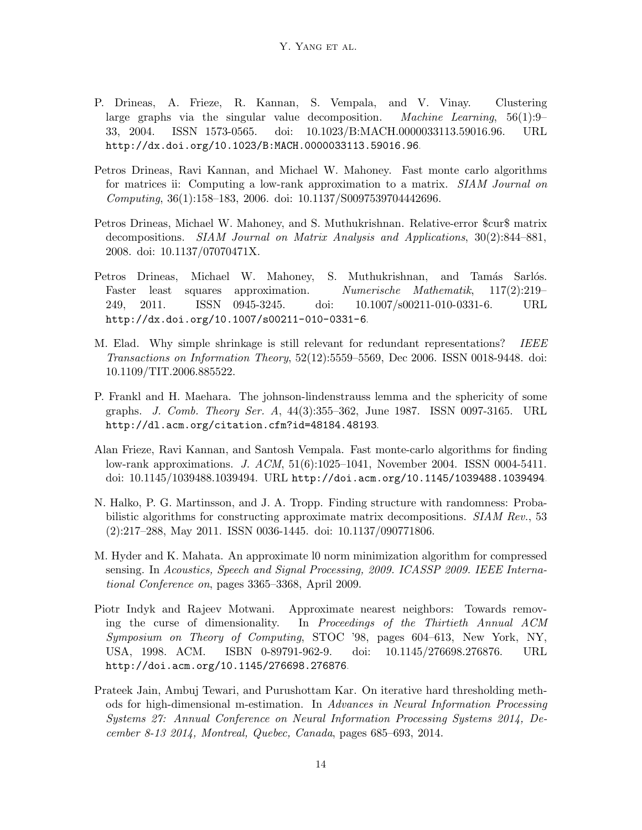- <span id="page-13-5"></span>P. Drineas, A. Frieze, R. Kannan, S. Vempala, and V. Vinay. Clustering large graphs via the singular value decomposition. Machine Learning, 56(1):9– 33, 2004. ISSN 1573-0565. doi: 10.1023/B:MACH.0000033113.59016.96. URL <http://dx.doi.org/10.1023/B:MACH.0000033113.59016.96>.
- <span id="page-13-6"></span>Petros Drineas, Ravi Kannan, and Michael W. Mahoney. Fast monte carlo algorithms for matrices ii: Computing a low-rank approximation to a matrix. SIAM Journal on Computing, 36(1):158–183, 2006. doi: 10.1137/S0097539704442696.
- <span id="page-13-7"></span>Petros Drineas, Michael W. Mahoney, and S. Muthukrishnan. Relative-error \$cur\$ matrix decompositions. SIAM Journal on Matrix Analysis and Applications, 30(2):844–881, 2008. doi: 10.1137/07070471X.
- <span id="page-13-2"></span>Petros Drineas, Michael W. Mahoney, S. Muthukrishnan, and Tamás Sarlós. Faster least squares approximation. Numerische Mathematik, 117(2):219– 249, 2011. ISSN 0945-3245. doi: 10.1007/s00211-010-0331-6. URL <http://dx.doi.org/10.1007/s00211-010-0331-6>.
- <span id="page-13-0"></span>M. Elad. Why simple shrinkage is still relevant for redundant representations? IEEE Transactions on Information Theory, 52(12):5559–5569, Dec 2006. ISSN 0018-9448. doi: 10.1109/TIT.2006.885522.
- <span id="page-13-9"></span>P. Frankl and H. Maehara. The johnson-lindenstrauss lemma and the sphericity of some graphs. J. Comb. Theory Ser. A, 44(3):355–362, June 1987. ISSN 0097-3165. URL <http://dl.acm.org/citation.cfm?id=48184.48193>.
- <span id="page-13-4"></span>Alan Frieze, Ravi Kannan, and Santosh Vempala. Fast monte-carlo algorithms for finding low-rank approximations. J. ACM, 51(6):1025–1041, November 2004. ISSN 0004-5411. doi: 10.1145/1039488.1039494. URL <http://doi.acm.org/10.1145/1039488.1039494>.
- <span id="page-13-8"></span>N. Halko, P. G. Martinsson, and J. A. Tropp. Finding structure with randomness: Probabilistic algorithms for constructing approximate matrix decompositions. SIAM Rev., 53 (2):217–288, May 2011. ISSN 0036-1445. doi: 10.1137/090771806.
- <span id="page-13-3"></span>M. Hyder and K. Mahata. An approximate l0 norm minimization algorithm for compressed sensing. In Acoustics, Speech and Signal Processing, 2009. ICASSP 2009. IEEE International Conference on, pages 3365–3368, April 2009.
- <span id="page-13-10"></span>Piotr Indyk and Rajeev Motwani. Approximate nearest neighbors: Towards removing the curse of dimensionality. In Proceedings of the Thirtieth Annual ACM Symposium on Theory of Computing, STOC '98, pages 604–613, New York, NY, USA, 1998. ACM. ISBN 0-89791-962-9. doi: 10.1145/276698.276876. URL <http://doi.acm.org/10.1145/276698.276876>.
- <span id="page-13-1"></span>Prateek Jain, Ambuj Tewari, and Purushottam Kar. On iterative hard thresholding methods for high-dimensional m-estimation. In Advances in Neural Information Processing Systems 27: Annual Conference on Neural Information Processing Systems 2014, December 8-13 2014, Montreal, Quebec, Canada, pages 685–693, 2014.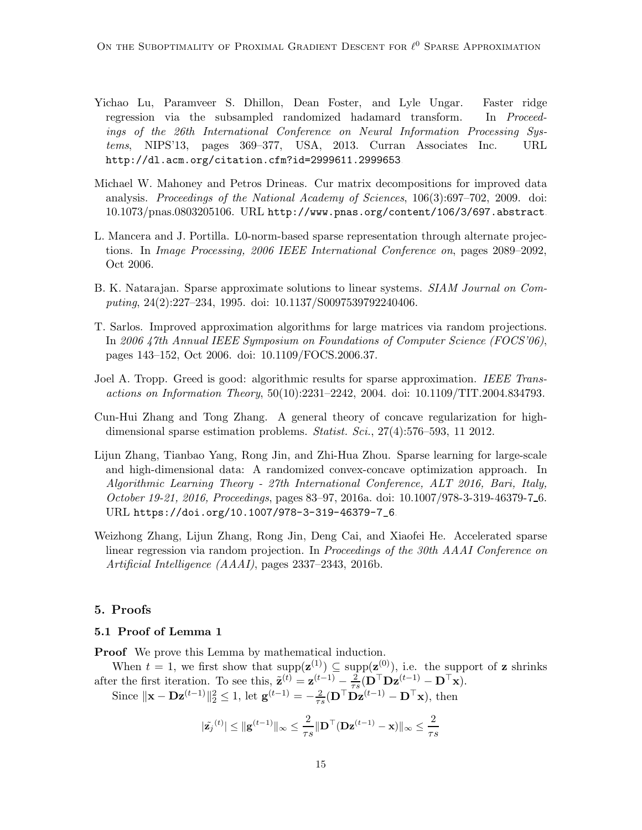- <span id="page-14-7"></span>Yichao Lu, Paramveer S. Dhillon, Dean Foster, and Lyle Ungar. Faster ridge regression via the subsampled randomized hadamard transform. In Proceedings of the 26th International Conference on Neural Information Processing Systems, NIPS'13, pages 369–377, USA, 2013. Curran Associates Inc. URL <http://dl.acm.org/citation.cfm?id=2999611.2999653>.
- <span id="page-14-6"></span>Michael W. Mahoney and Petros Drineas. Cur matrix decompositions for improved data analysis. Proceedings of the National Academy of Sciences, 106(3):697–702, 2009. doi: 10.1073/pnas.0803205106. URL <http://www.pnas.org/content/106/3/697.abstract>.
- <span id="page-14-0"></span>L. Mancera and J. Portilla. L0-norm-based sparse representation through alternate projections. In Image Processing, 2006 IEEE International Conference on, pages 2089–2092, Oct 2006.
- <span id="page-14-3"></span>B. K. Natarajan. Sparse approximate solutions to linear systems. *SIAM Journal on Com*puting, 24(2):227–234, 1995. doi: 10.1137/S0097539792240406.
- <span id="page-14-5"></span>T. Sarlos. Improved approximation algorithms for large matrices via random projections. In 2006 47th Annual IEEE Symposium on Foundations of Computer Science (FOCS'06), pages 143–152, Oct 2006. doi: 10.1109/FOCS.2006.37.
- <span id="page-14-4"></span>Joel A. Tropp. Greed is good: algorithmic results for sparse approximation. IEEE Transactions on Information Theory, 50(10):2231–2242, 2004. doi: 10.1109/TIT.2004.834793.
- <span id="page-14-1"></span>Cun-Hui Zhang and Tong Zhang. A general theory of concave regularization for highdimensional sparse estimation problems. Statist. Sci., 27(4):576–593, 11 2012.
- <span id="page-14-8"></span>Lijun Zhang, Tianbao Yang, Rong Jin, and Zhi-Hua Zhou. Sparse learning for large-scale and high-dimensional data: A randomized convex-concave optimization approach. In Algorithmic Learning Theory - 27th International Conference, ALT 2016, Bari, Italy, October 19-21, 2016, Proceedings, pages 83–97, 2016a. doi: 10.1007/978-3-319-46379-7 6. URL [https://doi.org/10.1007/978-3-319-46379-7\\_6](https://doi.org/10.1007/978-3-319-46379-7_6).
- <span id="page-14-2"></span>Weizhong Zhang, Lijun Zhang, Rong Jin, Deng Cai, and Xiaofei He. Accelerated sparse linear regression via random projection. In Proceedings of the 30th AAAI Conference on Artificial Intelligence (AAAI), pages 2337–2343, 2016b.

#### <span id="page-14-9"></span>5. Proofs

#### 5.1 Proof of Lemma [1](#page-3-1)

**Proof** We prove this Lemma by mathematical induction.

When  $t = 1$ , we first show that  $\text{supp}(\mathbf{z}^{(1)}) \subseteq \text{supp}(\mathbf{z}^{(0)})$ , i.e. the support of z shrinks after the first iteration. To see this,  $\tilde{\mathbf{z}}^{(t)} = \mathbf{z}^{(t-1)} - \frac{2}{\tau_s}$  $\frac{2}{\tau s}(\mathbf{D^\top Dz}^{(t-1)} - \mathbf{D^\top x}).$ 

Since  $\|\mathbf{x} - \mathbf{D}\mathbf{z}^{(t-1)}\|_2^2 \le 1$ , let  $\mathbf{g}^{(t-1)} = -\frac{2}{\tau s} (\mathbf{D}^\top \mathbf{D}\mathbf{z}^{(t-1)} - \mathbf{D}^\top \mathbf{x})$ , then

$$
|\tilde{\mathbf{z}_j}^{(t)}| \leq ||\mathbf{g}^{(t-1)}||_{\infty} \leq \frac{2}{\tau s} ||\mathbf{D}^\top (\mathbf{D} \mathbf{z}^{(t-1)} - \mathbf{x})||_{\infty} \leq \frac{2}{\tau s}
$$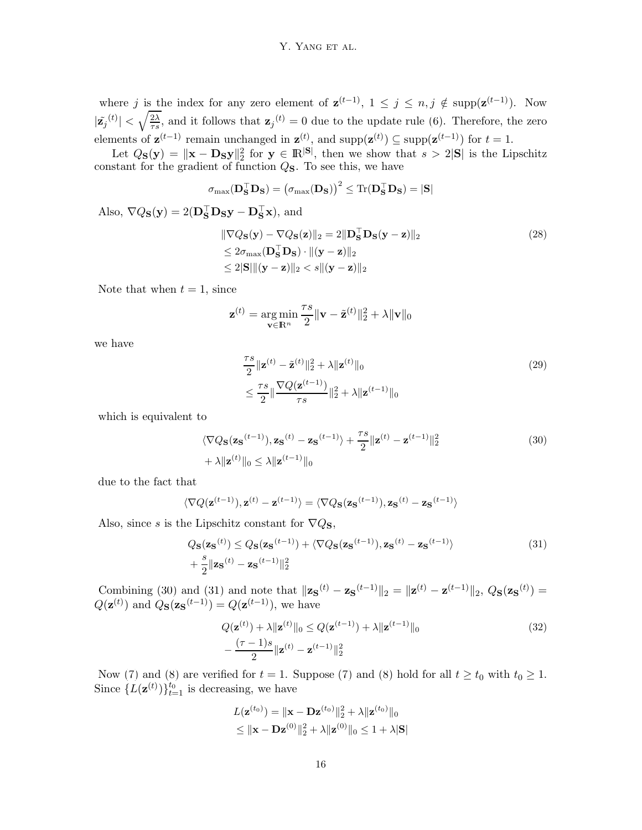where j is the index for any zero element of  $\mathbf{z}^{(t-1)}$ ,  $1 \leq j \leq n, j \notin \text{supp}(\mathbf{z}^{(t-1)})$ . Now  $|\tilde{\mathbf{z}_j}^{(t)}| < \sqrt{\frac{2\lambda}{\tau s}}$  $\frac{2\lambda}{\tau s}$ , and it follows that  $\mathbf{z}_j^{(t)} = 0$  due to the update rule [\(6\)](#page-2-2). Therefore, the zero elements of  $\mathbf{z}^{(t-1)}$  remain unchanged in  $\mathbf{z}^{(t)}$ , and  $\text{supp}(\mathbf{z}^{(t)}) \subseteq \text{supp}(\mathbf{z}^{(t-1)})$  for  $t = 1$ .

Let  $Q_{\mathbf{S}}(\mathbf{y}) = ||\mathbf{x} - \mathbf{D}_{\mathbf{S}}\mathbf{y}||_2^2$  for  $\mathbf{y} \in \mathbb{R}^{|\mathbf{S}|}$ , then we show that  $s > 2|\mathbf{S}|$  is the Lipschitz constant for the gradient of function  $Q_{\mathbf{S}}$ . To see this, we have

$$
\sigma_{\max}(\mathbf{D}_{\mathbf{S}}^{\top}\mathbf{D}_{\mathbf{S}}) = (\sigma_{\max}(\mathbf{D}_{\mathbf{S}}))^2 \leq \text{Tr}(\mathbf{D}_{\mathbf{S}}^{\top}\mathbf{D}_{\mathbf{S}}) = |\mathbf{S}|
$$
  
Also,  $\nabla Q_{\mathbf{S}}(\mathbf{y}) = 2(\mathbf{D}_{\mathbf{S}}^{\top}\mathbf{D}_{\mathbf{S}}\mathbf{y} - \mathbf{D}_{\mathbf{S}}^{\top}\mathbf{x}),$  and

$$
\|\nabla Q_{\mathbf{S}}(\mathbf{y}) - \nabla Q_{\mathbf{S}}(\mathbf{z})\|_{2} = 2\|\mathbf{D}_{\mathbf{S}}^{\top}\mathbf{D}_{\mathbf{S}}(\mathbf{y} - \mathbf{z})\|_{2}
$$
\n
$$
\leq 2\sigma_{\max}(\mathbf{D}_{\mathbf{S}}^{\top}\mathbf{D}_{\mathbf{S}}) \cdot \|(\mathbf{y} - \mathbf{z})\|_{2}
$$
\n
$$
\leq 2\|\mathbf{S}\| \|\mathbf{(y} - \mathbf{z})\|_{2} < s \|\mathbf{(y} - \mathbf{z})\|_{2}
$$
\n(28)

Note that when  $t = 1$ , since

$$
\mathbf{z}^{(t)} = \argmin_{\mathbf{v} \in \mathbb{R}^n} \frac{\tau s}{2} ||\mathbf{v} - \tilde{\mathbf{z}}^{(t)}||_2^2 + \lambda ||\mathbf{v}||_0
$$

we have

<span id="page-15-0"></span>
$$
\frac{\tau s}{2} \|\mathbf{z}^{(t)} - \tilde{\mathbf{z}}^{(t)}\|_{2}^{2} + \lambda \|\mathbf{z}^{(t)}\|_{0} \n\leq \frac{\tau s}{2} \|\frac{\nabla Q(\mathbf{z}^{(t-1)})}{\tau s}\|_{2}^{2} + \lambda \|\mathbf{z}^{(t-1)}\|_{0}
$$
\n(29)

which is equivalent to

$$
\langle \nabla Q_{\mathbf{S}}(\mathbf{z}_{\mathbf{S}}^{(t-1)}), \mathbf{z}_{\mathbf{S}}^{(t)} - \mathbf{z}_{\mathbf{S}}^{(t-1)} \rangle + \frac{\tau s}{2} ||\mathbf{z}^{(t)} - \mathbf{z}^{(t-1)}||_2^2
$$
\n
$$
+ \lambda ||\mathbf{z}^{(t)}||_0 \le \lambda ||\mathbf{z}^{(t-1)}||_0
$$
\n(30)

due to the fact that

$$
\langle \nabla Q(\mathbf{z}^{(t-1)}), \mathbf{z}^{(t)} - \mathbf{z}^{(t-1)} \rangle = \langle \nabla Q_{\mathbf{S}}(\mathbf{z}_{\mathbf{S}}^{(t-1)}), \mathbf{z}_{\mathbf{S}}^{(t)} - \mathbf{z}_{\mathbf{S}}^{(t-1)} \rangle
$$

Also, since s is the Lipschitz constant for  $\nabla Q_{\mathbf{S}}$ ,

$$
Q_{\mathbf{S}}(\mathbf{z}_{\mathbf{S}}^{(t)}) \leq Q_{\mathbf{S}}(\mathbf{z}_{\mathbf{S}}^{(t-1)}) + \langle \nabla Q_{\mathbf{S}}(\mathbf{z}_{\mathbf{S}}^{(t-1)}), \mathbf{z}_{\mathbf{S}}^{(t)} - \mathbf{z}_{\mathbf{S}}^{(t-1)} \rangle
$$
\n
$$
+ \frac{s}{2} \|\mathbf{z}_{\mathbf{S}}^{(t)} - \mathbf{z}_{\mathbf{S}}^{(t-1)}\|_{2}^{2}
$$
\n(31)

Combining [\(30\)](#page-15-0) and [\(31\)](#page-15-1) and note that  $\|\mathbf{z}_s^{(t)} - \mathbf{z}_s^{(t-1)}\|_2 = \|\mathbf{z}^{(t)} - \mathbf{z}^{(t-1)}\|_2$ ,  $Q_s(\mathbf{z}_s^{(t)}) =$  $Q(\mathbf{z}^{(t)})$  and  $Q_{\mathbf{S}}(\mathbf{z}_{\mathbf{S}}^{(t-1)}) = Q(\mathbf{z}^{(t-1)})$ , we have

<span id="page-15-1"></span>
$$
Q(\mathbf{z}^{(t)}) + \lambda \|\mathbf{z}^{(t)}\|_{0} \le Q(\mathbf{z}^{(t-1)}) + \lambda \|\mathbf{z}^{(t-1)}\|_{0}
$$
  
 
$$
-\frac{(\tau - 1)s}{2} \|\mathbf{z}^{(t)} - \mathbf{z}^{(t-1)}\|_{2}^{2}
$$
 (32)

Now [\(7\)](#page-3-2) and [\(8\)](#page-3-3) are verified for  $t = 1$ . Suppose (7) and (8) hold for all  $t \ge t_0$  with  $t_0 \ge 1$ . Since  $\{L(\mathbf{z}^{(t)})\}_{t=1}^{t_0}$  is decreasing, we have

<span id="page-15-2"></span>
$$
L(\mathbf{z}^{(t_0)}) = ||\mathbf{x} - \mathbf{D}\mathbf{z}^{(t_0)}||_2^2 + \lambda ||\mathbf{z}^{(t_0)}||_0
$$
  
\$\leq ||\mathbf{x} - \mathbf{D}\mathbf{z}^{(0)}||\_2^2 + \lambda ||\mathbf{z}^{(0)}||\_0 \leq 1 + \lambda |\mathbf{S}|\]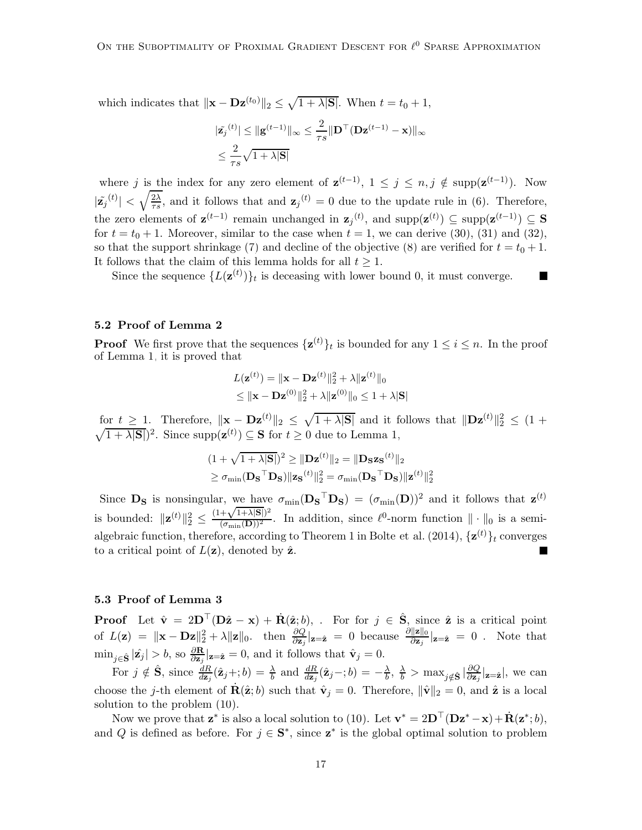which indicates that  $\|\mathbf{x} - \mathbf{D}\mathbf{z}^{(t_0)}\|_2 \leq \sqrt{1 + \lambda |\mathbf{S}|}$ . When  $t = t_0 + 1$ ,

$$
\begin{aligned} &|\tilde{\mathbf{z}_j}^{(t)}| \leq \|\mathbf{g}^{(t-1)}\|_{\infty} \leq \frac{2}{\tau s} \|\mathbf{D}^\top (\mathbf{D} \mathbf{z}^{(t-1)} - \mathbf{x})\|_{\infty} \\ &\leq \frac{2}{\tau s} \sqrt{1 + \lambda |\mathbf{S}|} \end{aligned}
$$

where j is the index for any zero element of  $\mathbf{z}^{(t-1)}$ ,  $1 \leq j \leq n, j \notin \text{supp}(\mathbf{z}^{(t-1)})$ . Now  $|\tilde{\mathbf{z}_j}^{(t)}| < \sqrt{\frac{2\lambda}{\tau s}}$  $\frac{2\lambda}{\tau s}$ , and it follows that and  $\mathbf{z}_j^{(t)} = 0$  due to the update rule in [\(6\)](#page-2-2). Therefore, the zero elements of  $\mathbf{z}^{(t-1)}$  remain unchanged in  $\mathbf{z}_j^{(t)}$ , and  $\text{supp}(\mathbf{z}^{(t)}) \subseteq \text{supp}(\mathbf{z}^{(t-1)}) \subseteq \mathbf{S}$ for  $t = t_0 + 1$ . Moreover, similar to the case when  $t = 1$ , we can derive [\(30\)](#page-15-0), [\(31\)](#page-15-1) and [\(32\)](#page-15-2), so that the support shrinkage [\(7\)](#page-3-2) and decline of the objective [\(8\)](#page-3-3) are verified for  $t = t_0 + 1$ . It follows that the claim of this lemma holds for all  $t \geq 1$ .

Since the sequence  $\{L(\mathbf{z}^{(t)})\}_t$  is deceasing with lower bound 0, it must converge. П

#### 5.2 Proof of Lemma [2](#page-4-0)

**Proof** We first prove that the sequences  $\{\mathbf{z}^{(t)}\}_t$  is bounded for any  $1 \leq i \leq n$ . In the proof of Lemma [1,](#page-3-1) it is proved that

$$
L(\mathbf{z}^{(t)}) = \|\mathbf{x} - \mathbf{D}\mathbf{z}^{(t)}\|_2^2 + \lambda \|\mathbf{z}^{(t)}\|_0
$$
  
\$\leq \|\mathbf{x} - \mathbf{D}\mathbf{z}^{(0)}\|\_2^2 + \lambda \|\mathbf{z}^{(0)}\|\_0 \leq 1 + \lambda |\mathbf{S}|\$

for  $t \geq 1$ . Therefore,  $\|\mathbf{x} - \mathbf{D}\mathbf{z}^{(t)}\|_2 \leq \sqrt{1 + \lambda |\mathbf{S}|}$  and it follows that  $\|\mathbf{D}\mathbf{z}^{(t)}\|_2^2 \leq (1 +$  $\sqrt{1 + \lambda |\mathbf{S}|}^2$ . Since supp $(\mathbf{z}^{(t)}) \subseteq \mathbf{S}$  for  $t \ge 0$  due to Lemma [1,](#page-3-1)

$$
(1 + \sqrt{1 + \lambda |\mathbf{S}|})^2 \ge ||\mathbf{D}\mathbf{z}^{(t)}||_2 = ||\mathbf{D}_\mathbf{S} \mathbf{z}_\mathbf{S}^{(t)}||_2
$$
  
\n
$$
\ge \sigma_{\min}(\mathbf{D}_\mathbf{S}^\top \mathbf{D}_\mathbf{S}) ||\mathbf{z}_\mathbf{S}^{(t)}||_2^2 = \sigma_{\min}(\mathbf{D}_\mathbf{S}^\top \mathbf{D}_\mathbf{S}) ||\mathbf{z}^{(t)}||_2^2
$$

Since  $\mathbf{D}_\mathbf{S}$  is nonsingular, we have  $\sigma_{\min}(\mathbf{D}_\mathbf{S}^\top \mathbf{D}_\mathbf{S}) = (\sigma_{\min}(\mathbf{D}))^2$  and it follows that  $\mathbf{z}^{(t)}$ is bounded:  $\|\mathbf{z}^{(t)}\|_2^2 \leq$  $\frac{(1+\sqrt{1+\lambda|\mathbf{S}|})^2}{(\sigma_{\min}(\mathbf{D}))^2}$ . In addition, since  $\ell^0$ -norm function  $\|\cdot\|_0$  is a semi-algebraic function, therefore, according to Theorem 1 in [Bolte et al. \(2014](#page-12-9)),  $\{\mathbf{z}^{(t)}\}_t$  converges to a critical point of  $L(\mathbf{z})$ , denoted by  $\hat{\mathbf{z}}$ .

#### 5.3 Proof of Lemma [3](#page-5-0)

**Proof** Let  $\hat{\mathbf{v}} = 2\mathbf{D}^{\top}(\mathbf{D}\hat{\mathbf{z}} - \mathbf{x}) + \dot{\mathbf{R}}(\hat{\mathbf{z}}; b)$ , . For for  $j \in \hat{\mathbf{S}}$ , since  $\hat{\mathbf{z}}$  is a critical point of  $L(\mathbf{z}) = ||\mathbf{x} - \mathbf{D}\mathbf{z}||_2^2 + \lambda ||\mathbf{z}||_0$ , then  $\frac{\partial Q}{\partial \mathbf{z}_j} |_{\mathbf{z}=\hat{\mathbf{z}}} = 0$  because  $\frac{\partial ||\mathbf{z}||_0}{\partial \mathbf{z}_j} |_{\mathbf{z}=\hat{\mathbf{z}}} = 0$ . Note that  $\min_{j \in \hat{\mathbf{S}}} |\hat{\mathbf{z}}_j| > b$ , so  $\frac{\partial \mathbf{R}}{\partial \mathbf{z}_j} |_{\mathbf{z} = \hat{\mathbf{z}}} = 0$ , and it follows that  $\hat{\mathbf{v}}_j = 0$ .

For  $j \notin \hat{S}$ , since  $\frac{dR}{dz_j}(\hat{z}_j +; b) = \frac{\lambda}{b}$  and  $\frac{dR}{dz_j}(\hat{z}_j -; b) = -\frac{\lambda}{b}$  $\frac{\lambda}{b}$ ,  $\frac{\lambda}{b}$  >  $\max_{j \notin \hat{S}} |\frac{\partial Q}{\partial z_j}|_{z=\hat{z}}|$ , we can choose the j-th element of  $\dot{\mathbf{R}}(\hat{\mathbf{z}};b)$  such that  $\hat{\mathbf{v}}_j = 0$ . Therefore,  $\|\hat{\mathbf{v}}\|_2 = 0$ , and  $\hat{\mathbf{z}}$  is a local solution to the problem [\(10\)](#page-4-2).

Now we prove that  $\mathbf{z}^*$  is also a local solution to [\(10\)](#page-4-2). Let  $\mathbf{v}^* = 2\mathbf{D}^\top(\mathbf{D}\mathbf{z}^* - \mathbf{x}) + \dot{\mathbf{R}}(\mathbf{z}^*; b)$ , and Q is defined as before. For  $j \in \mathbf{S}^*$ , since  $\mathbf{z}^*$  is the global optimal solution to problem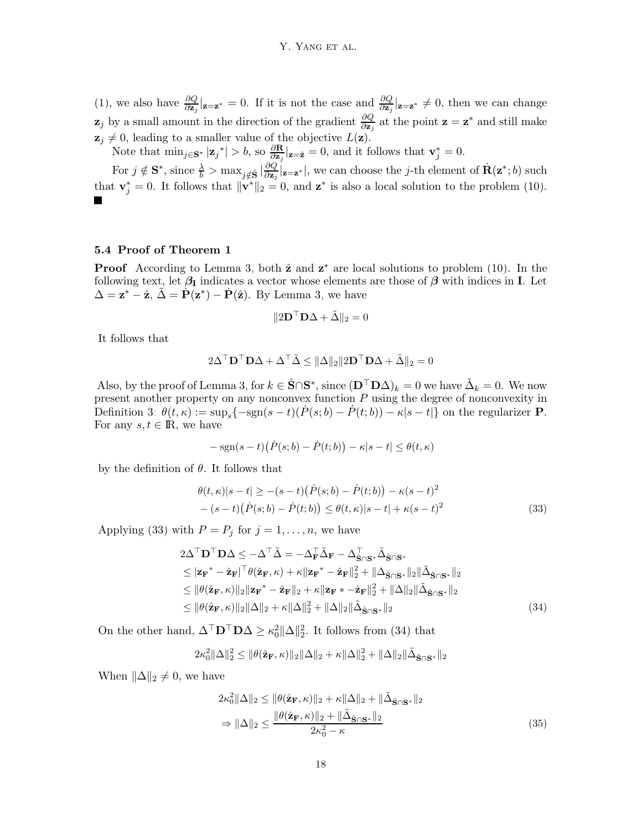[\(1\)](#page-0-0), we also have  $\frac{\partial Q}{\partial \mathbf{z}_j} |_{\mathbf{z} = \mathbf{z}^*} = 0$ . If it is not the case and  $\frac{\partial Q}{\partial \mathbf{z}_j} |_{\mathbf{z} = \mathbf{z}^*} \neq 0$ , then we can change  $z_j$  by a small amount in the direction of the gradient  $\frac{\partial Q}{\partial z_j}$  at the point  $z = z^*$  and still make  $z_j \neq 0$ , leading to a smaller value of the objective  $L(z)$ .

Note that  $\min_{j \in \mathbf{S}^*} |\mathbf{z}_j^*| > b$ , so  $\frac{\partial \mathbf{R}}{\partial \mathbf{z}_j} |_{\mathbf{z} = \hat{\mathbf{z}}} = 0$ , and it follows that  $\mathbf{v}_j^* = 0$ .

For  $j \notin \mathbf{S}^*$ , since  $\frac{\lambda}{b} > \max_{j \notin \hat{\mathbf{S}}} |\frac{\partial Q}{\partial \mathbf{z}_j} |_{\mathbf{z} = \mathbf{z}^*}|$ , we can choose the j-th element of  $\dot{\mathbf{R}}(\mathbf{z}^*; b)$  such that  $\mathbf{v}_j^* = 0$ . It follows that  $\|\mathbf{v}^*\|_2 = 0$ , and  $\mathbf{z}^*$  is also a local solution to the problem [\(10\)](#page-4-2).

## 5.4 Proof of Theorem [1](#page-5-1)

**Proof** According to Lemma [3,](#page-5-0) both  $\hat{z}$  and  $z^*$  are local solutions to problem [\(10\)](#page-4-2). In the following text, let  $\beta_I$  indicates a vector whose elements are those of  $\beta$  with indices in I. Let  $\Delta = \mathbf{z}^* - \hat{\mathbf{z}}, \, \tilde{\Delta} = \dot{\mathbf{P}}(\mathbf{z}^*) - \dot{\mathbf{P}}(\hat{\mathbf{z}}).$  By Lemma [3,](#page-5-0) we have

<span id="page-17-0"></span>
$$
||2\mathbf{D}^\top \mathbf{D}\Delta + \tilde{\Delta}||_2 = 0
$$

It follows that

$$
2\Delta^{\top} \mathbf{D}^{\top} \mathbf{D} \Delta + \Delta^{\top} \tilde{\Delta} \leq \|\Delta\|_2 \|2\mathbf{D}^{\top} \mathbf{D} \Delta + \tilde{\Delta}\|_2 = 0
$$

Also, by the proof of Lemma [3,](#page-5-0) for  $k \in \hat{S} \cap S^*$ , since  $(D^{\top} D \Delta)_k = 0$  we have  $\tilde{\Delta}_k = 0$ . We now present another property on any nonconvex function  $P$  using the degree of nonconvexity in Definition [3:](#page-5-4)  $\theta(t,\kappa) := \sup_s \{-\text{sgn}(s-t)(P(s;b) - P(t;b)) - \kappa|s-t|\}$  on the regularizer **P**. For any  $s, t \in \mathbb{R}$ , we have

$$
-\operatorname{sgn}(s-t)\big(\dot{P}(s;b)-\dot{P}(t;b)\big)-\kappa|s-t|\leq \theta(t,\kappa)
$$

by the definition of  $\theta$ . It follows that

$$
\begin{aligned} \theta(t,\kappa)|s-t| &\geq -(s-t)\big(\dot{P}(s;b) - \dot{P}(t;b)\big) - \kappa(s-t)^2 \\ &- (s-t)\big(\dot{P}(s;b) - \dot{P}(t;b)\big) \leq \theta(t,\kappa)|s-t| + \kappa(s-t)^2 \end{aligned} \tag{33}
$$

Applying [\(33\)](#page-17-0) with  $P = P_j$  for  $j = 1, \ldots, n$ , we have

$$
2\Delta^{\top}\mathbf{D}^{\top}\mathbf{D}\Delta \leq -\Delta^{\top}\tilde{\Delta} = -\Delta_{\mathbf{F}}^{\top}\tilde{\Delta}_{\mathbf{F}} - \Delta_{\hat{\mathbf{S}}\cap\mathbf{S}^{*}}^{\top}\tilde{\Delta}_{\hat{\mathbf{S}}\cap\mathbf{S}^{*}}
$$
  
\n
$$
\leq |\mathbf{z}_{\mathbf{F}}^{*} - \hat{\mathbf{z}}_{\mathbf{F}}|^{T} \theta(\hat{\mathbf{z}}_{\mathbf{F}}, \kappa) + \kappa ||\mathbf{z}_{\mathbf{F}}^{*} - \hat{\mathbf{z}}_{\mathbf{F}}||_{2}^{2} + ||\Delta_{\hat{\mathbf{S}}\cap\mathbf{S}^{*}}||_{2} ||\tilde{\Delta}_{\hat{\mathbf{S}}\cap\mathbf{S}^{*}}||_{2}
$$
  
\n
$$
\leq ||\theta(\hat{\mathbf{z}}_{\mathbf{F}}, \kappa)||_{2} ||\mathbf{z}_{\mathbf{F}}^{*} - \hat{\mathbf{z}}_{\mathbf{F}}||_{2} + \kappa ||\mathbf{z}_{\mathbf{F}}^{*} - \hat{\mathbf{z}}_{\mathbf{F}}||_{2}^{2} + ||\Delta||_{2} ||\tilde{\Delta}_{\hat{\mathbf{S}}\cap\mathbf{S}^{*}}||_{2}
$$
  
\n
$$
\leq ||\theta(\hat{\mathbf{z}}_{\mathbf{F}}, \kappa)||_{2} ||\Delta||_{2} + \kappa ||\Delta||_{2}^{2} + ||\Delta||_{2} ||\tilde{\Delta}_{\hat{\mathbf{S}}\cap\mathbf{S}^{*}}||_{2}
$$
\n(34)

On the other hand,  $\Delta^{\top} \mathbf{D}^{\top} \mathbf{D} \Delta \geq \kappa_0^2 \|\Delta\|_2^2$ . It follows from [\(34\)](#page-17-1) that

$$
2\kappa_0^2 \|\Delta\|_2^2 \le \|\theta(\hat{\mathbf{z}}_{\mathbf{F}}, \kappa)\|_2 \|\Delta\|_2 + \kappa \|\Delta\|_2^2 + \|\Delta\|_2 \|\tilde{\Delta}_{\hat{\mathbf{S}} \cap \mathbf{S}^*}\|_2
$$

When  $\|\Delta\|_2 \neq 0$ , we have

<span id="page-17-1"></span>
$$
2\kappa_0^2 \|\Delta\|_2 \le \|\theta(\hat{\mathbf{z}}_{\mathbf{F}}, \kappa)\|_2 + \kappa \|\Delta\|_2 + \|\tilde{\Delta}_{\hat{\mathbf{S}} \cap \mathbf{S}^*}\|_2
$$
  
\n
$$
\Rightarrow \|\Delta\|_2 \le \frac{\|\theta(\hat{\mathbf{z}}_{\mathbf{F}}, \kappa)\|_2 + \|\tilde{\Delta}_{\hat{\mathbf{S}} \cap \mathbf{S}^*}\|_2}{2\kappa_0^2 - \kappa}
$$
\n(35)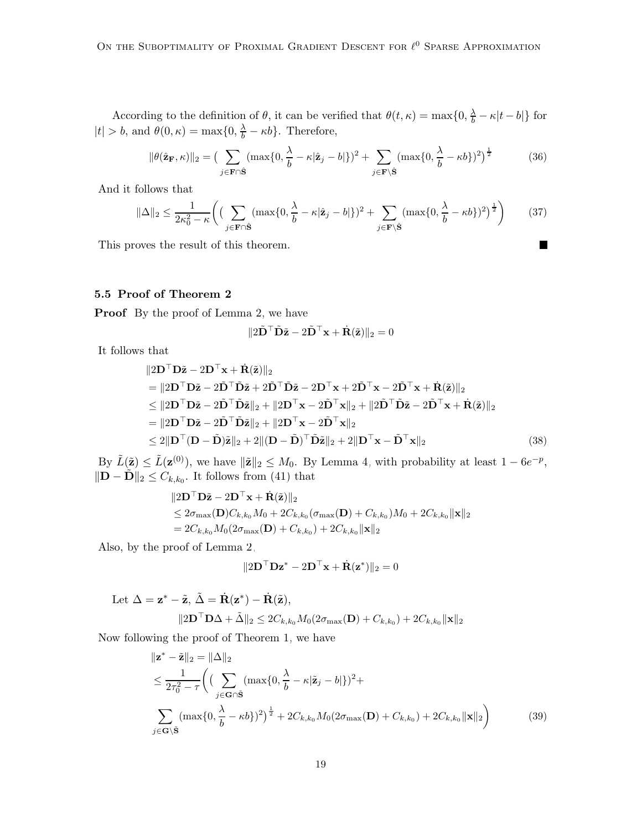According to the definition of  $\theta$ , it can be verified that  $\theta(t,\kappa) = \max\{0, \frac{\lambda}{b} - \kappa|t - b|\}$  for  $|t| > b$ , and  $\theta(0, \kappa) = \max\{0, \frac{\lambda}{b} - \kappa b\}$ . Therefore,

$$
\|\theta(\hat{\mathbf{z}}_{\mathbf{F}},\kappa)\|_{2} = \left(\sum_{j\in\mathbf{F}\cap\hat{\mathbf{S}}} (\max\{0,\frac{\lambda}{b}-\kappa|\hat{\mathbf{z}}_{j}-b|\})^{2} + \sum_{j\in\mathbf{F}\backslash\hat{\mathbf{S}}} (\max\{0,\frac{\lambda}{b}-\kappa b\})^{2}\right)^{\frac{1}{2}}
$$
(36)

And it follows that

$$
\|\Delta\|_2 \le \frac{1}{2\kappa_0^2 - \kappa} \left( \left( \sum_{j \in \mathbf{F} \cap \hat{\mathbf{S}}} (\max\{0, \frac{\lambda}{b} - \kappa |\hat{\mathbf{z}}_j - b| \})^2 + \sum_{j \in \mathbf{F} \setminus \hat{\mathbf{S}}} (\max\{0, \frac{\lambda}{b} - \kappa b\})^2 \right)^{\frac{1}{2}} \right) \tag{37}
$$

П

This proves the result of this theorem.

## 5.5 Proof of Theorem [2](#page-9-1)

Proof By the proof of Lemma [2,](#page-4-0) we have

$$
\|2\tilde{\mathbf{D}}^{\top}\tilde{\mathbf{D}}\tilde{\mathbf{z}} - 2\tilde{\mathbf{D}}^{\top}\mathbf{x} + \dot{\mathbf{R}}(\tilde{\mathbf{z}})\|_2 = 0
$$

It follows that

$$
\|2\mathbf{D}^{\top}\mathbf{D}\tilde{\mathbf{z}} - 2\mathbf{D}^{\top}\mathbf{x} + \dot{\mathbf{R}}(\tilde{\mathbf{z}})\|_{2}
$$
\n
$$
= \|2\mathbf{D}^{\top}\mathbf{D}\tilde{\mathbf{z}} - 2\tilde{\mathbf{D}}^{\top}\tilde{\mathbf{D}}\tilde{\mathbf{z}} + 2\tilde{\mathbf{D}}^{\top}\tilde{\mathbf{D}}\tilde{\mathbf{z}} - 2\mathbf{D}^{\top}\mathbf{x} + 2\tilde{\mathbf{D}}^{\top}\mathbf{x} - 2\tilde{\mathbf{D}}^{\top}\mathbf{x} + \dot{\mathbf{R}}(\tilde{\mathbf{z}})\|_{2}
$$
\n
$$
\leq \|2\mathbf{D}^{\top}\mathbf{D}\tilde{\mathbf{z}} - 2\tilde{\mathbf{D}}^{\top}\tilde{\mathbf{D}}\tilde{\mathbf{z}}\|_{2} + \|2\mathbf{D}^{\top}\mathbf{x} - 2\tilde{\mathbf{D}}^{\top}\mathbf{x}\|_{2} + \|2\tilde{\mathbf{D}}^{\top}\tilde{\mathbf{D}}\tilde{\mathbf{z}} - 2\tilde{\mathbf{D}}^{\top}\mathbf{x} + \dot{\mathbf{R}}(\tilde{\mathbf{z}})\|_{2}
$$
\n
$$
= \|2\mathbf{D}^{\top}\mathbf{D}\tilde{\mathbf{z}} - 2\tilde{\mathbf{D}}^{\top}\tilde{\mathbf{D}}\tilde{\mathbf{z}}\|_{2} + \|2\mathbf{D}^{\top}\mathbf{x} - 2\tilde{\mathbf{D}}^{\top}\mathbf{x}\|_{2}
$$
\n
$$
\leq 2\|\mathbf{D}^{\top}(\mathbf{D} - \tilde{\mathbf{D}})\tilde{\mathbf{z}}\|_{2} + 2\|(\mathbf{D} - \tilde{\mathbf{D}})^{\top}\tilde{\mathbf{D}}\tilde{\mathbf{z}}\|_{2} + 2\|\mathbf{D}^{\top}\mathbf{x} - \tilde{\mathbf{D}}^{\top}\mathbf{x}\|_{2}
$$
\n(38)

By  $\tilde{L}(\tilde{\mathbf{z}}) \leq \tilde{L}(\mathbf{z}^{(0)})$ , we have  $\|\tilde{\mathbf{z}}\|_2 \leq M_0$ . By Lemma [4,](#page-8-3) with probability at least  $1 - 6e^{-p}$ ,  $\|\mathbf{D} - \tilde{\mathbf{D}}\|_2 \leq C_{k,k_0}$ . It follows from [\(41\)](#page-19-0) that

$$
\|2\mathbf{D}^{\top}\mathbf{D}\tilde{\mathbf{z}} - 2\mathbf{D}^{\top}\mathbf{x} + \dot{\mathbf{R}}(\tilde{\mathbf{z}})\|_2
$$
  
\n
$$
\leq 2\sigma_{\max}(\mathbf{D})C_{k,k_0}M_0 + 2C_{k,k_0}(\sigma_{\max}(\mathbf{D}) + C_{k,k_0})M_0 + 2C_{k,k_0}\|\mathbf{x}\|_2
$$
  
\n
$$
= 2C_{k,k_0}M_0(2\sigma_{\max}(\mathbf{D}) + C_{k,k_0}) + 2C_{k,k_0}\|\mathbf{x}\|_2
$$

Also, by the proof of Lemma [2,](#page-4-0)

$$
\|2\mathbf{D}^\top \mathbf{D} \mathbf{z}^* - 2\mathbf{D}^\top \mathbf{x} + \dot{\mathbf{R}}(\mathbf{z}^*)\|_2 = 0
$$

Let 
$$
\Delta = \mathbf{z}^* - \tilde{\mathbf{z}}, \ \tilde{\Delta} = \dot{\mathbf{R}}(\mathbf{z}^*) - \dot{\mathbf{R}}(\tilde{\mathbf{z}}),
$$
  

$$
\|2\mathbf{D}^\top \mathbf{D}\Delta + \tilde{\Delta}\|_2 \le 2C_{k,k_0}M_0(2\sigma_{\max}(\mathbf{D}) + C_{k,k_0}) + 2C_{k,k_0}\|\mathbf{x}\|_2
$$

Now following the proof of Theorem [1,](#page-5-1) we have

$$
\| \mathbf{z}^* - \tilde{\mathbf{z}} \|_2 = \| \Delta \|_2
$$
  
\n
$$
\leq \frac{1}{2\tau_0^2 - \tau} \Biggl( \biggl( \sum_{j \in \mathbf{G} \cap \tilde{\mathbf{S}}} (\max\{0, \frac{\lambda}{b} - \kappa |\tilde{\mathbf{z}}_j - b| \})^2 +
$$
  
\n
$$
\sum_{j \in \mathbf{G} \setminus \tilde{\mathbf{S}}} (\max\{0, \frac{\lambda}{b} - \kappa b\})^2 \Biggr)^{\frac{1}{2}} + 2C_{k,k_0} M_0(2\sigma_{\max}(\mathbf{D}) + C_{k,k_0}) + 2C_{k,k_0} \|\mathbf{x}\|_2 \Biggr)
$$
 (39)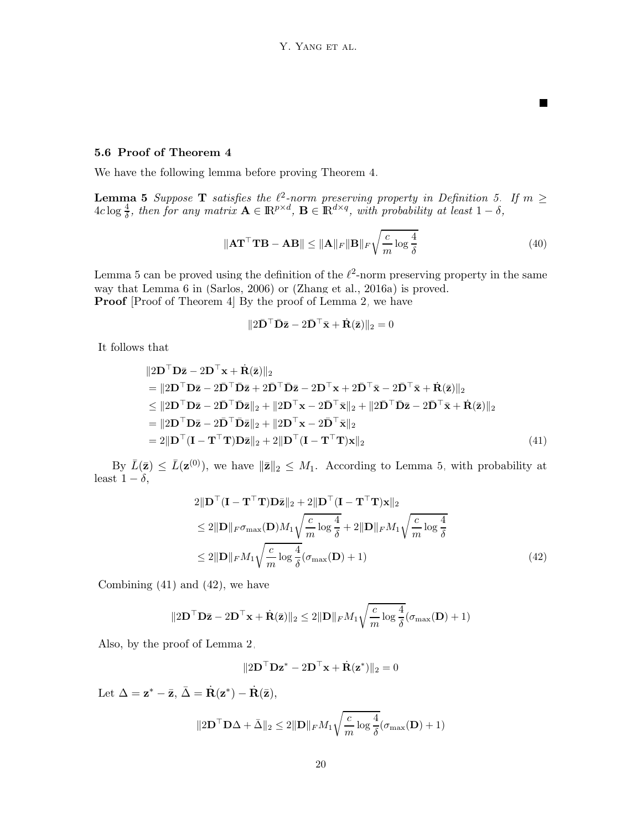#### 5.6 Proof of Theorem [4](#page-10-0)

<span id="page-19-1"></span>We have the following lemma before proving Theorem [4.](#page-10-0)

**Lemma 5** Suppose **T** satisfies the  $\ell^2$ -norm preserving property in Definition [5.](#page-8-2) If  $m \geq$  $4c\log\frac{4}{\delta}$ , then for any matrix  $\mathbf{A} \in \mathbb{R}^{p \times d}$ ,  $\mathbf{B} \in \mathbb{R}^{d \times q}$ , with probability at least  $1-\delta$ ,

$$
\|\mathbf{A}\mathbf{T}^{\top}\mathbf{T}\mathbf{B} - \mathbf{A}\mathbf{B}\| \le \|\mathbf{A}\|_{F} \|\mathbf{B}\|_{F} \sqrt{\frac{c}{m} \log \frac{4}{\delta}}
$$
(40)

П

Lemma [5](#page-19-1) can be proved using the definition of the  $\ell^2$ -norm preserving property in the same way that Lemma 6 in [\(Sarlos](#page-14-5), [2006\)](#page-14-5) or [\(Zhang et al., 2016a\)](#page-14-8) is proved. **Proof** [Proof of Theorem [4\]](#page-10-0) By the proof of Lemma [2,](#page-4-0) we have

<span id="page-19-0"></span>
$$
\|\mathbf{2}\bar{\mathbf{D}}^{\top}\bar{\mathbf{D}}\bar{\mathbf{z}} - \mathbf{2}\bar{\mathbf{D}}^{\top}\bar{\mathbf{x}} + \dot{\mathbf{R}}(\bar{\mathbf{z}})\|_{2} = 0
$$

It follows that

$$
\|2\mathbf{D}^{\top}\mathbf{D}\bar{\mathbf{z}} - 2\mathbf{D}^{\top}\mathbf{x} + \dot{\mathbf{R}}(\bar{\mathbf{z}})\|_{2}
$$
  
\n
$$
= \|2\mathbf{D}^{\top}\mathbf{D}\bar{\mathbf{z}} - 2\bar{\mathbf{D}}^{\top}\bar{\mathbf{D}}\bar{\mathbf{z}} + 2\bar{\mathbf{D}}^{\top}\bar{\mathbf{D}}\bar{\mathbf{z}} - 2\mathbf{D}^{\top}\mathbf{x} + 2\bar{\mathbf{D}}^{\top}\bar{\mathbf{x}} - 2\bar{\mathbf{D}}^{\top}\bar{\mathbf{x}} + \dot{\mathbf{R}}(\bar{\mathbf{z}})\|_{2}
$$
  
\n
$$
\leq \|2\mathbf{D}^{\top}\mathbf{D}\bar{\mathbf{z}} - 2\bar{\mathbf{D}}^{\top}\bar{\mathbf{D}}\bar{\mathbf{z}}\|_{2} + \|2\mathbf{D}^{\top}\mathbf{x} - 2\bar{\mathbf{D}}^{\top}\bar{\mathbf{x}}\|_{2} + \|2\bar{\mathbf{D}}^{\top}\bar{\mathbf{D}}\bar{\mathbf{z}} - 2\bar{\mathbf{D}}^{\top}\bar{\mathbf{x}} + \dot{\mathbf{R}}(\bar{\mathbf{z}})\|_{2}
$$
  
\n
$$
= \|2\mathbf{D}^{\top}\mathbf{D}\bar{\mathbf{z}} - 2\bar{\mathbf{D}}^{\top}\bar{\mathbf{D}}\bar{\mathbf{z}}\|_{2} + \|2\mathbf{D}^{\top}\mathbf{x} - 2\bar{\mathbf{D}}^{\top}\bar{\mathbf{x}}\|_{2}
$$
  
\n
$$
= 2\|\mathbf{D}^{\top}(\mathbf{I} - \mathbf{T}^{\top}\mathbf{T})\mathbf{D}\bar{\mathbf{z}}\|_{2} + 2\|\mathbf{D}^{\top}(\mathbf{I} - \mathbf{T}^{\top}\mathbf{T})\mathbf{x}\|_{2}
$$
\n(41)

By  $\bar{L}(\bar{z}) \leq \bar{L}(\mathbf{z}^{(0)})$ , we have  $\|\bar{\mathbf{z}}\|_2 \leq M_1$ . According to Lemma [5,](#page-19-1) with probability at least  $1 - \delta$ ,

$$
2\|\mathbf{D}^\top(\mathbf{I} - \mathbf{T}^\top \mathbf{T})\mathbf{D}\bar{\mathbf{z}}\|_2 + 2\|\mathbf{D}^\top(\mathbf{I} - \mathbf{T}^\top \mathbf{T})\mathbf{x}\|_2
$$
  
\n
$$
\leq 2\|\mathbf{D}\|_F \sigma_{\max}(\mathbf{D})M_1 \sqrt{\frac{c}{m} \log \frac{4}{\delta}} + 2\|\mathbf{D}\|_F M_1 \sqrt{\frac{c}{m} \log \frac{4}{\delta}}
$$
  
\n
$$
\leq 2\|\mathbf{D}\|_F M_1 \sqrt{\frac{c}{m} \log \frac{4}{\delta}} (\sigma_{\max}(\mathbf{D}) + 1)
$$
\n(42)

Combining [\(41\)](#page-19-0) and [\(42\)](#page-19-2), we have

$$
\|2\mathbf{D}^\top \mathbf{D}\bar{\mathbf{z}} - 2\mathbf{D}^\top \mathbf{x} + \dot{\mathbf{R}}(\bar{\mathbf{z}})\|_2 \le 2\|\mathbf{D}\|_F M_1 \sqrt{\frac{c}{m} \log \frac{4}{\delta}} (\sigma_{\max}(\mathbf{D}) + 1)
$$

Also, by the proof of Lemma [2,](#page-4-0)

<span id="page-19-2"></span>
$$
||2\mathbf{D}^\top \mathbf{D} \mathbf{z}^* - 2\mathbf{D}^\top \mathbf{x} + \dot{\mathbf{R}}(\mathbf{z}^*)||_2 = 0
$$

Let  $\Delta = \mathbf{z}^* - \bar{\mathbf{z}}, \, \bar{\Delta} = \dot{\mathbf{R}}(\mathbf{z}^*) - \dot{\mathbf{R}}(\bar{\mathbf{z}}),$ 

$$
\|2\mathbf{D}^\top \mathbf{D}\Delta + \bar{\Delta}\|_2 \le 2\|\mathbf{D}\|_F M_1 \sqrt{\frac{c}{m}\log \frac{4}{\delta}} (\sigma_{\max}(\mathbf{D})+1)
$$